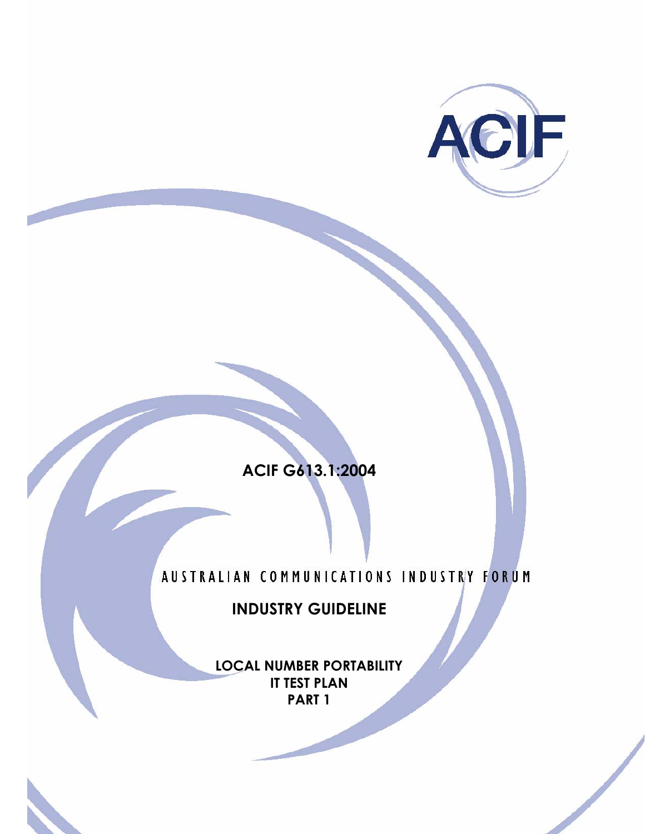

# **ACIF G613.1:2004**

## AUSTRALIAN COMMUNICATIONS INDUSTRY FORUM

## **INDUSTRY GUIDELINE**

**LOCAL NUMBER PORTABILITY IT TEST PLAN PART 1**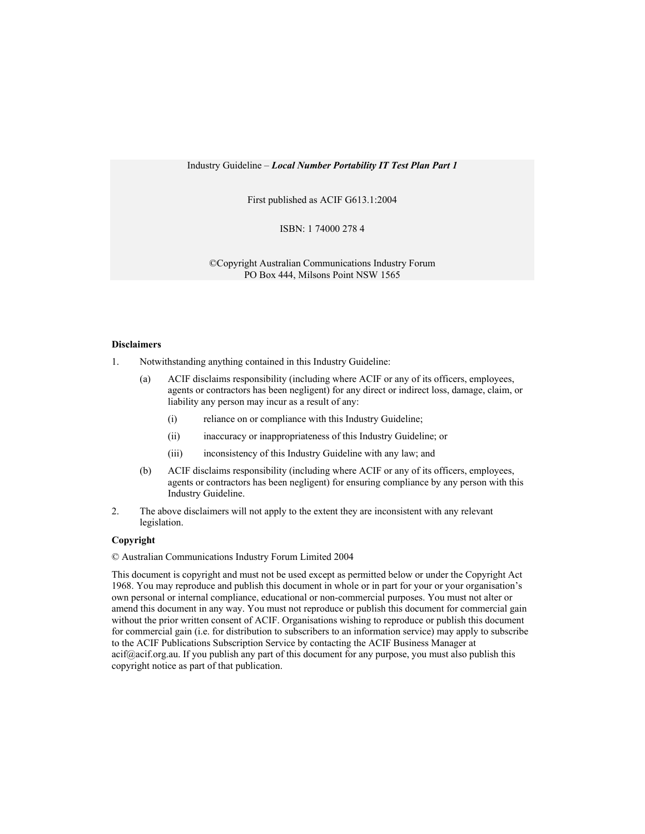Industry Guideline – *Local Number Portability IT Test Plan Part 1*

First published as ACIF G613.1:2004

ISBN: 1 74000 278 4

©Copyright Australian Communications Industry Forum PO Box 444, Milsons Point NSW 1565

#### **Disclaimers**

- 1. Notwithstanding anything contained in this Industry Guideline:
	- (a) ACIF disclaims responsibility (including where ACIF or any of its officers, employees, agents or contractors has been negligent) for any direct or indirect loss, damage, claim, or liability any person may incur as a result of any:
		- (i) reliance on or compliance with this Industry Guideline;
		- (ii) inaccuracy or inappropriateness of this Industry Guideline; or
		- (iii) inconsistency of this Industry Guideline with any law; and
	- (b) ACIF disclaims responsibility (including where ACIF or any of its officers, employees, agents or contractors has been negligent) for ensuring compliance by any person with this Industry Guideline.
- 2. The above disclaimers will not apply to the extent they are inconsistent with any relevant legislation.

#### **Copyright**

© Australian Communications Industry Forum Limited 2004

This document is copyright and must not be used except as permitted below or under the Copyright Act 1968. You may reproduce and publish this document in whole or in part for your or your organisation's own personal or internal compliance, educational or non-commercial purposes. You must not alter or amend this document in any way. You must not reproduce or publish this document for commercial gain without the prior written consent of ACIF. Organisations wishing to reproduce or publish this document for commercial gain (i.e. for distribution to subscribers to an information service) may apply to subscribe to the ACIF Publications Subscription Service by contacting the ACIF Business Manager at acif@acif.org.au. If you publish any part of this document for any purpose, you must also publish this copyright notice as part of that publication.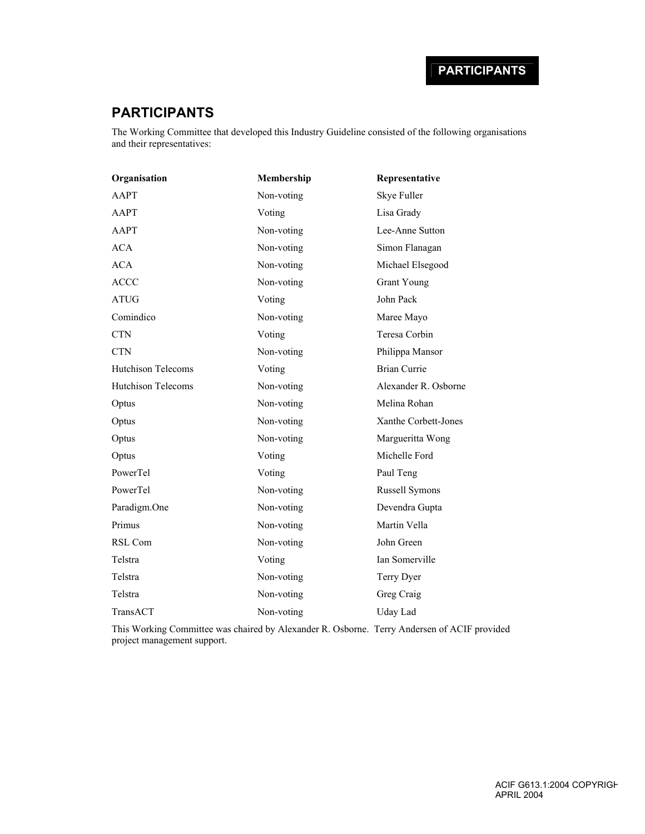## **PARTICIPANTS**

The Working Committee that developed this Industry Guideline consisted of the following organisations and their representatives:

| Organisation              | Membership | Representative        |
|---------------------------|------------|-----------------------|
| AAPT                      | Non-voting | Skye Fuller           |
| AAPT                      | Voting     | Lisa Grady            |
| AAPT                      | Non-voting | Lee-Anne Sutton       |
| <b>ACA</b>                | Non-voting | Simon Flanagan        |
| <b>ACA</b>                | Non-voting | Michael Elsegood      |
| <b>ACCC</b>               | Non-voting | Grant Young           |
| <b>ATUG</b>               | Voting     | John Pack             |
| Comindico                 | Non-voting | Maree Mayo            |
| <b>CTN</b>                | Voting     | Teresa Corbin         |
| <b>CTN</b>                | Non-voting | Philippa Mansor       |
| <b>Hutchison Telecoms</b> | Voting     | <b>Brian Currie</b>   |
| <b>Hutchison Telecoms</b> | Non-voting | Alexander R. Osborne  |
| Optus                     | Non-voting | Melina Rohan          |
| Optus                     | Non-voting | Xanthe Corbett-Jones  |
| Optus                     | Non-voting | Margueritta Wong      |
| Optus                     | Voting     | Michelle Ford         |
| PowerTel                  | Voting     | Paul Teng             |
| PowerTel                  | Non-voting | <b>Russell Symons</b> |
| Paradigm.One              | Non-voting | Devendra Gupta        |
| Primus                    | Non-voting | Martin Vella          |
| RSL Com                   | Non-voting | John Green            |
| Telstra                   | Voting     | Ian Somerville        |
| Telstra                   | Non-voting | Terry Dyer            |
| Telstra                   | Non-voting | Greg Craig            |
| TransACT                  | Non-voting | Uday Lad              |

This Working Committee was chaired by Alexander R. Osborne. Terry Andersen of ACIF provided project management support.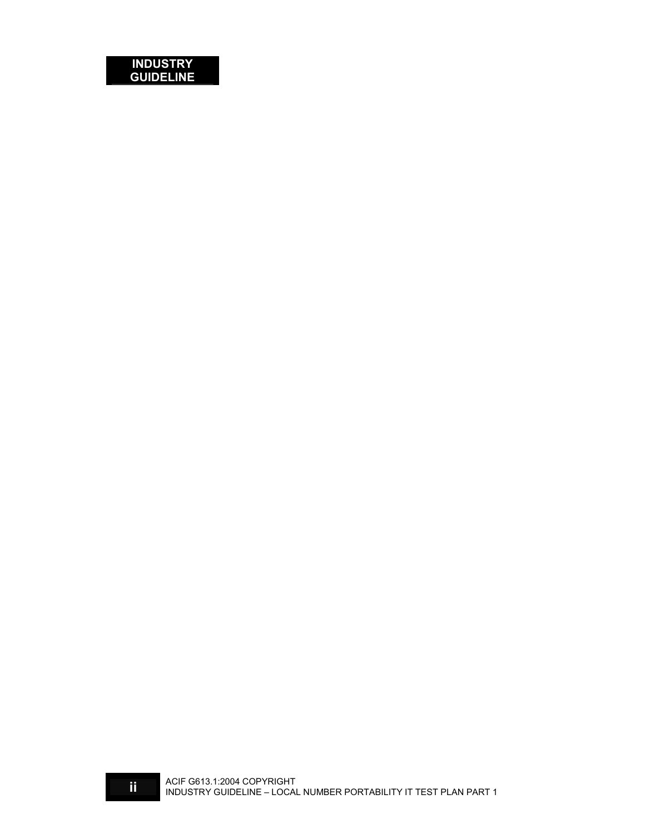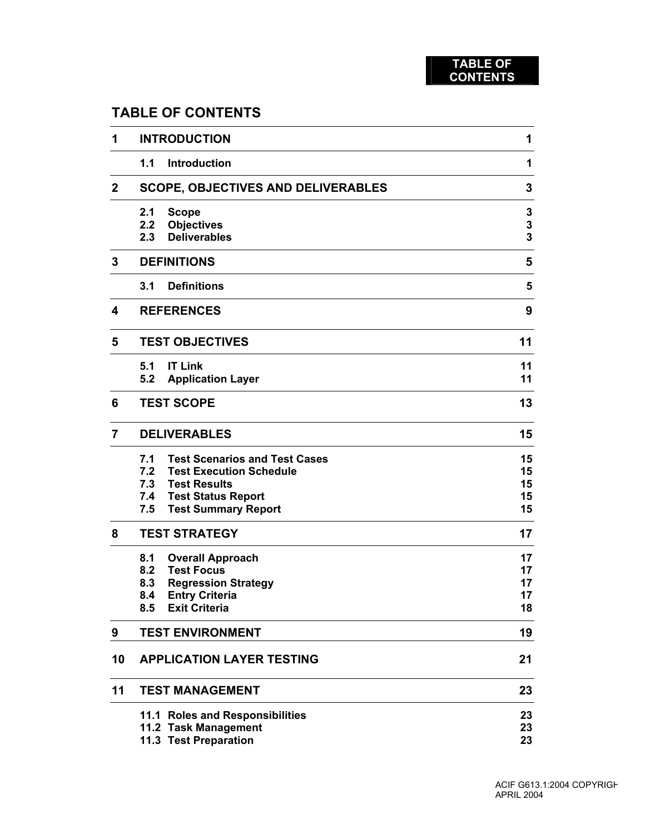## **TABLE OF CONTENTS**

## **TABLE OF CONTENTS**

| 1            | <b>INTRODUCTION</b>                         | 1             |  |  |  |
|--------------|---------------------------------------------|---------------|--|--|--|
|              | Introduction<br>1.1                         | 1             |  |  |  |
| $\mathbf{2}$ | <b>SCOPE, OBJECTIVES AND DELIVERABLES</b>   | 3             |  |  |  |
|              | 2.1<br><b>Scope</b>                         | ${\bf 3}$     |  |  |  |
|              | <b>Objectives</b><br>2.2                    | $\frac{3}{3}$ |  |  |  |
|              | <b>Deliverables</b><br>2.3                  |               |  |  |  |
| 3            | <b>DEFINITIONS</b>                          | 5             |  |  |  |
|              | 3.1<br><b>Definitions</b>                   | 5             |  |  |  |
| 4            | <b>REFERENCES</b>                           | 9             |  |  |  |
| 5            | <b>TEST OBJECTIVES</b>                      | 11            |  |  |  |
|              | 5.1<br><b>IT Link</b>                       | 11            |  |  |  |
|              | 5.2<br><b>Application Layer</b>             | 11            |  |  |  |
| 6            | <b>TEST SCOPE</b>                           | 13            |  |  |  |
| 7            | <b>DELIVERABLES</b>                         |               |  |  |  |
|              | 7.1<br><b>Test Scenarios and Test Cases</b> | 15            |  |  |  |
|              | 7.2<br><b>Test Execution Schedule</b>       | 15            |  |  |  |
|              | 7.3<br><b>Test Results</b>                  | 15            |  |  |  |
|              | 7.4<br><b>Test Status Report</b>            | 15            |  |  |  |
|              | 7.5<br><b>Test Summary Report</b>           | 15            |  |  |  |
| 8            | <b>TEST STRATEGY</b>                        | 17            |  |  |  |
|              | <b>Overall Approach</b><br>8.1              | 17            |  |  |  |
|              | 8.2<br><b>Test Focus</b>                    | 17            |  |  |  |
|              | 8.3<br><b>Regression Strategy</b>           | 17            |  |  |  |
|              | 8.4<br><b>Entry Criteria</b>                | 17            |  |  |  |
|              | <b>Exit Criteria</b><br>8.5                 | 18            |  |  |  |
| 9            | <b>TEST ENVIRONMENT</b>                     | 19            |  |  |  |
| 10           | <b>APPLICATION LAYER TESTING</b>            | 21            |  |  |  |
| 11           | <b>TEST MANAGEMENT</b>                      | 23            |  |  |  |
|              | 11.1 Roles and Responsibilities             | 23            |  |  |  |
|              | 11.2 Task Management                        | 23            |  |  |  |
|              | 11.3 Test Preparation                       | 23            |  |  |  |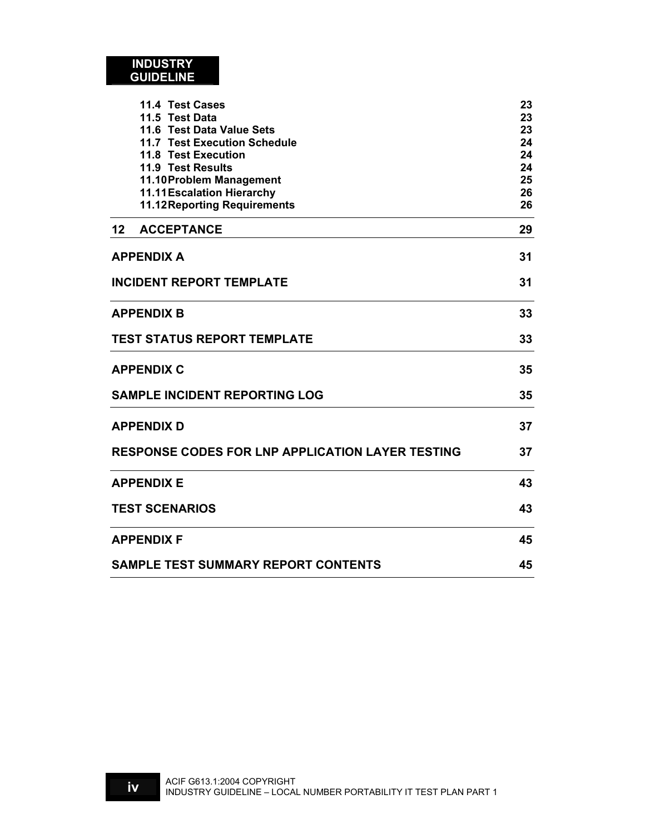## **INDUSTRY GUIDELINE**

| 11.4 Test Cases                                         | 23 |
|---------------------------------------------------------|----|
| 11.5 Test Data                                          | 23 |
| 11.6 Test Data Value Sets                               | 23 |
| <b>11.7 Test Execution Schedule</b>                     | 24 |
| 11.8 Test Execution                                     | 24 |
| 11.9 Test Results                                       | 24 |
| 11.10Problem Management                                 | 25 |
| 11.11 Escalation Hierarchy                              | 26 |
| <b>11.12 Reporting Requirements</b>                     | 26 |
| 12 <sup>2</sup><br><b>ACCEPTANCE</b>                    | 29 |
| <b>APPENDIX A</b>                                       | 31 |
| <b>INCIDENT REPORT TEMPLATE</b>                         | 31 |
| <b>APPENDIX B</b>                                       | 33 |
| <b>TEST STATUS REPORT TEMPLATE</b>                      | 33 |
| <b>APPENDIX C</b>                                       | 35 |
| <b>SAMPLE INCIDENT REPORTING LOG</b>                    | 35 |
| <b>APPENDIX D</b>                                       | 37 |
| <b>RESPONSE CODES FOR LNP APPLICATION LAYER TESTING</b> | 37 |
| <b>APPENDIX E</b>                                       | 43 |
| <b>TEST SCENARIOS</b>                                   | 43 |
| <b>APPENDIX F</b>                                       | 45 |
| <b>SAMPLE TEST SUMMARY REPORT CONTENTS</b>              | 45 |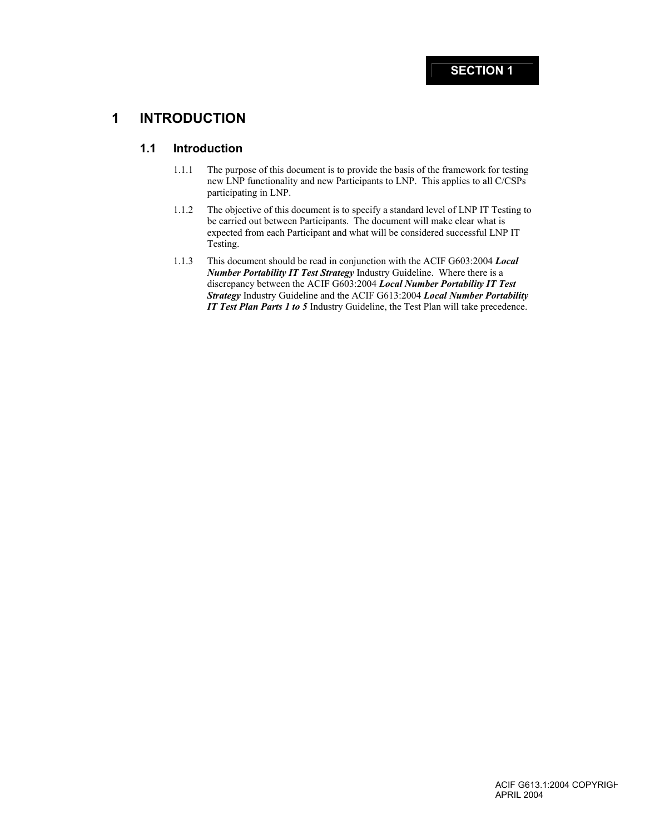## **1 INTRODUCTION**

## **1.1 Introduction**

- 1.1.1 The purpose of this document is to provide the basis of the framework for testing new LNP functionality and new Participants to LNP. This applies to all C/CSPs participating in LNP.
- 1.1.2 The objective of this document is to specify a standard level of LNP IT Testing to be carried out between Participants. The document will make clear what is expected from each Participant and what will be considered successful LNP IT Testing.
- 1.1.3 This document should be read in conjunction with the ACIF G603:2004 *Local Number Portability IT Test Strategy* Industry Guideline. Where there is a discrepancy between the ACIF G603:2004 *Local Number Portability IT Test Strategy* Industry Guideline and the ACIF G613:2004 *Local Number Portability IT Test Plan Parts 1 to 5* Industry Guideline, the Test Plan will take precedence.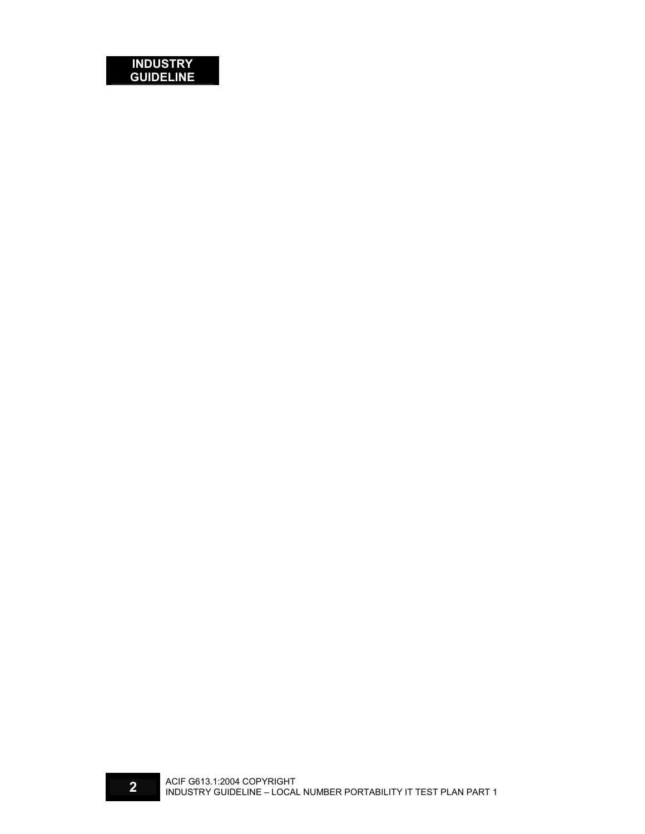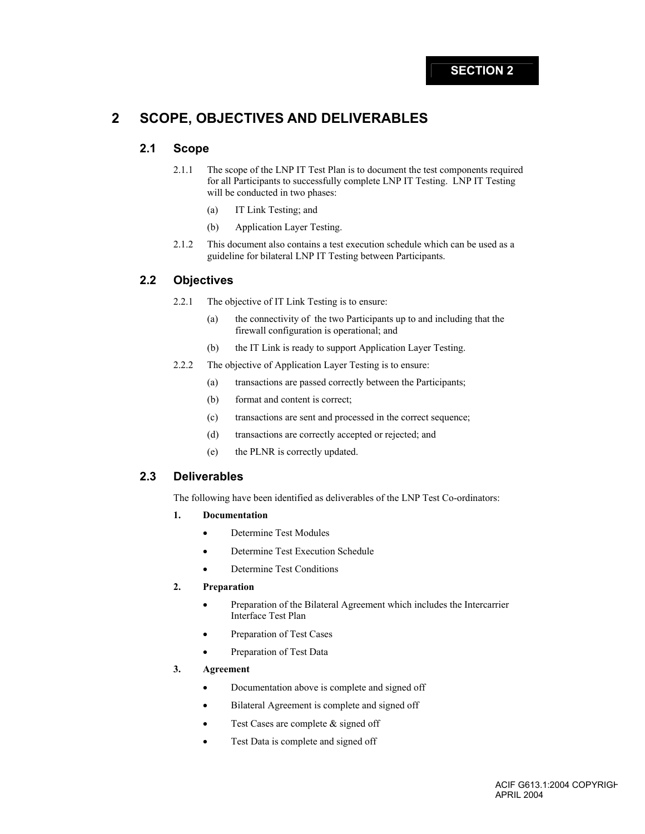## **2 SCOPE, OBJECTIVES AND DELIVERABLES**

## **2.1 Scope**

- 2.1.1 The scope of the LNP IT Test Plan is to document the test components required for all Participants to successfully complete LNP IT Testing. LNP IT Testing will be conducted in two phases:
	- (a) IT Link Testing; and
	- (b) Application Layer Testing.
- 2.1.2 This document also contains a test execution schedule which can be used as a guideline for bilateral LNP IT Testing between Participants.

### **2.2 Objectives**

- 2.2.1 The objective of IT Link Testing is to ensure:
	- (a) the connectivity of the two Participants up to and including that the firewall configuration is operational; and
	- (b) the IT Link is ready to support Application Layer Testing.
- 2.2.2 The objective of Application Layer Testing is to ensure:
	- (a) transactions are passed correctly between the Participants;
	- (b) format and content is correct;
	- (c) transactions are sent and processed in the correct sequence;
	- (d) transactions are correctly accepted or rejected; and
	- (e) the PLNR is correctly updated.

### **2.3 Deliverables**

The following have been identified as deliverables of the LNP Test Co-ordinators:

- **1. Documentation** 
	- Determine Test Modules
	- Determine Test Execution Schedule
	- Determine Test Conditions

#### **2. Preparation**

- Preparation of the Bilateral Agreement which includes the Intercarrier Interface Test Plan
- Preparation of Test Cases
- Preparation of Test Data

### **3. Agreement**

- Documentation above is complete and signed off
- Bilateral Agreement is complete and signed off
- Test Cases are complete  $&$  signed off
- Test Data is complete and signed off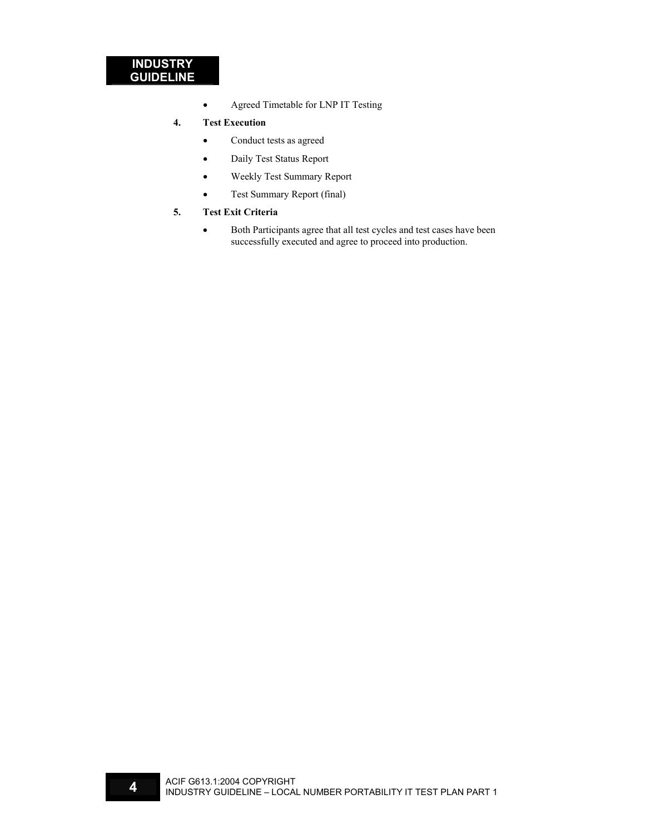## **INDUSTRY GUIDELINE**

- Agreed Timetable for LNP IT Testing
- **4. Test Execution** 
	- Conduct tests as agreed
	- Daily Test Status Report
	- Weekly Test Summary Report
	- Test Summary Report (final)
- **5. Test Exit Criteria** 
	- Both Participants agree that all test cycles and test cases have been successfully executed and agree to proceed into production.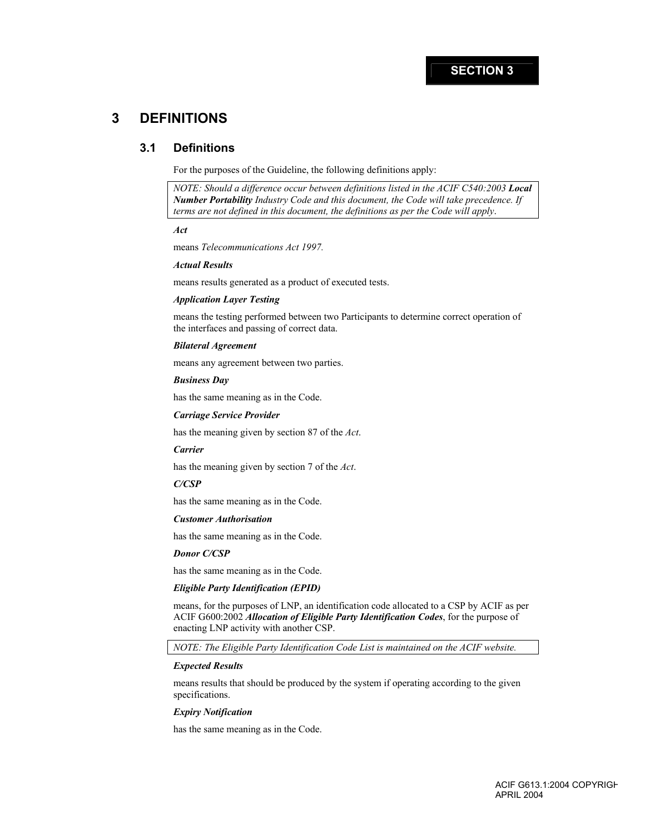## **3 DEFINITIONS**

### **3.1 Definitions**

For the purposes of the Guideline, the following definitions apply:

*NOTE: Should a difference occur between definitions listed in the ACIF C540:2003 Local Number Portability Industry Code and this document, the Code will take precedence. If terms are not defined in this document, the definitions as per the Code will apply*.

*Act* 

means *Telecommunications Act 1997.*

#### *Actual Results*

means results generated as a product of executed tests.

#### *Application Layer Testing*

means the testing performed between two Participants to determine correct operation of the interfaces and passing of correct data.

#### *Bilateral Agreement*

means any agreement between two parties.

#### *Business Day*

has the same meaning as in the Code.

### *Carriage Service Provider*

has the meaning given by section 87 of the *Act*.

#### *Carrier*

has the meaning given by section 7 of the *Act*.

#### *C/CSP*

has the same meaning as in the Code.

#### *Customer Authorisation*

has the same meaning as in the Code.

#### *Donor C/CSP*

has the same meaning as in the Code.

#### *Eligible Party Identification (EPID)*

means, for the purposes of LNP, an identification code allocated to a CSP by ACIF as per ACIF G600:2002 *Allocation of Eligible Party Identification Codes*, for the purpose of enacting LNP activity with another CSP.

*NOTE: The Eligible Party Identification Code List is maintained on the ACIF website.*

#### *Expected Results*

means results that should be produced by the system if operating according to the given specifications.

#### *Expiry Notification*

has the same meaning as in the Code.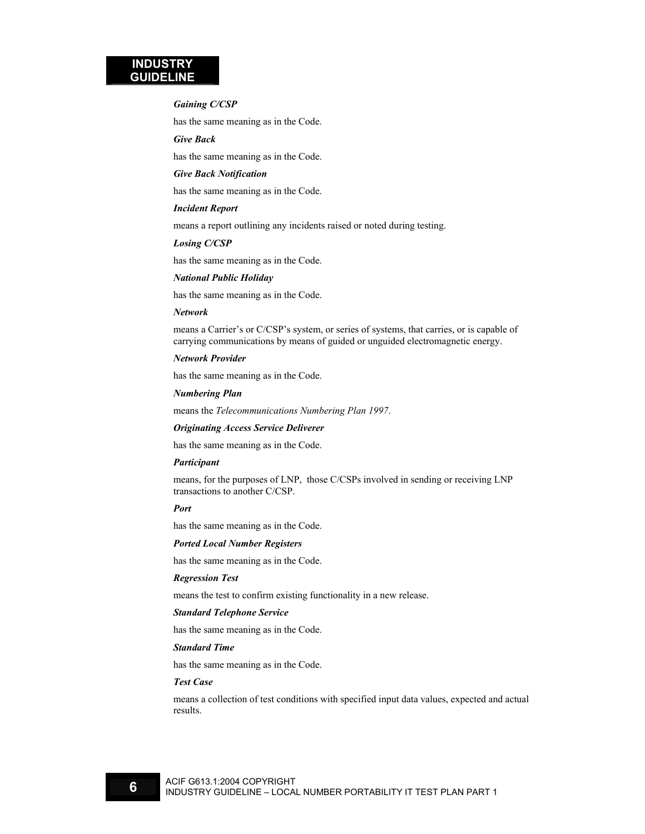#### *Gaining C/CSP*

has the same meaning as in the Code.

#### *Give Back*

has the same meaning as in the Code.

#### *Give Back Notification*

has the same meaning as in the Code.

#### *Incident Report*

means a report outlining any incidents raised or noted during testing.

#### *Losing C/CSP*

has the same meaning as in the Code.

#### *National Public Holiday*

has the same meaning as in the Code.

#### *Network*

means a Carrier's or C/CSP's system, or series of systems, that carries, or is capable of carrying communications by means of guided or unguided electromagnetic energy.

#### *Network Provider*

has the same meaning as in the Code.

#### *Numbering Plan*

means the *Telecommunications Numbering Plan 1997*.

#### *Originating Access Service Deliverer*

has the same meaning as in the Code.

#### *Participant*

means, for the purposes of LNP, those C/CSPs involved in sending or receiving LNP transactions to another C/CSP.

#### *Port*

has the same meaning as in the Code.

#### *Ported Local Number Registers*

has the same meaning as in the Code.

#### *Regression Test*

means the test to confirm existing functionality in a new release.

#### *Standard Telephone Service*

has the same meaning as in the Code.

#### *Standard Time*

has the same meaning as in the Code.

#### *Test Case*

means a collection of test conditions with specified input data values, expected and actual results.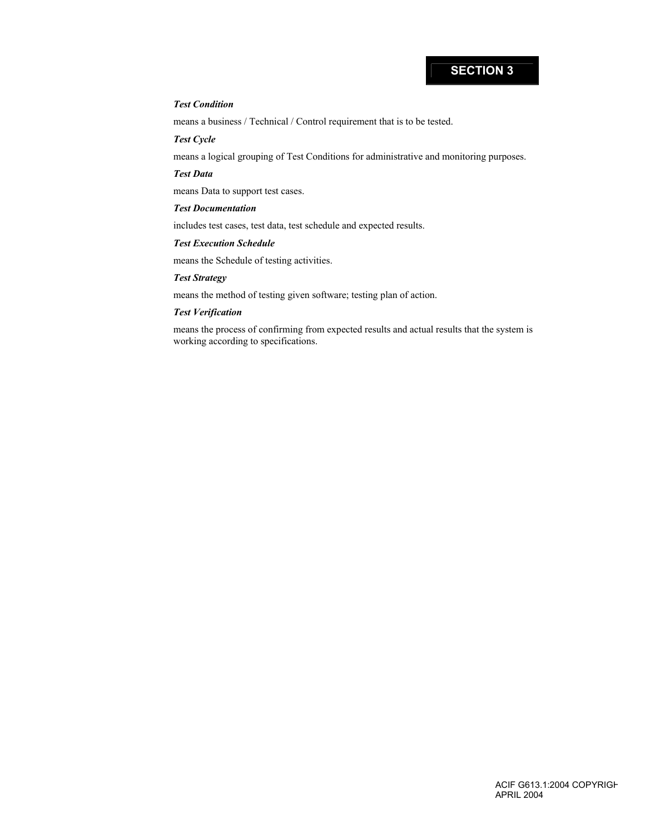### *Test Condition*

means a business / Technical / Control requirement that is to be tested.

### *Test Cycle*

means a logical grouping of Test Conditions for administrative and monitoring purposes.

#### *Test Data*

means Data to support test cases.

### *Test Documentation*

includes test cases, test data, test schedule and expected results.

### *Test Execution Schedule*

means the Schedule of testing activities.

### *Test Strategy*

means the method of testing given software; testing plan of action.

### *Test Verification*

means the process of confirming from expected results and actual results that the system is working according to specifications.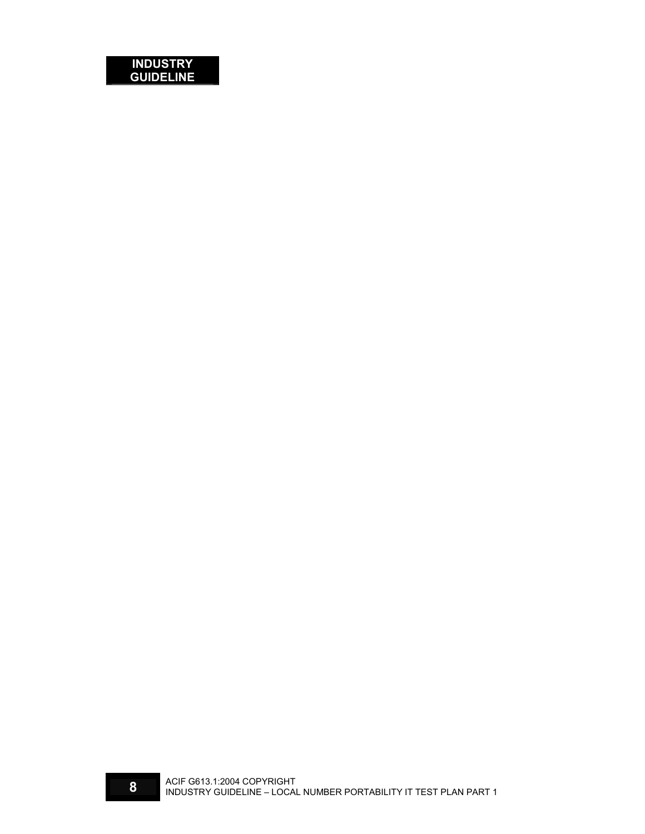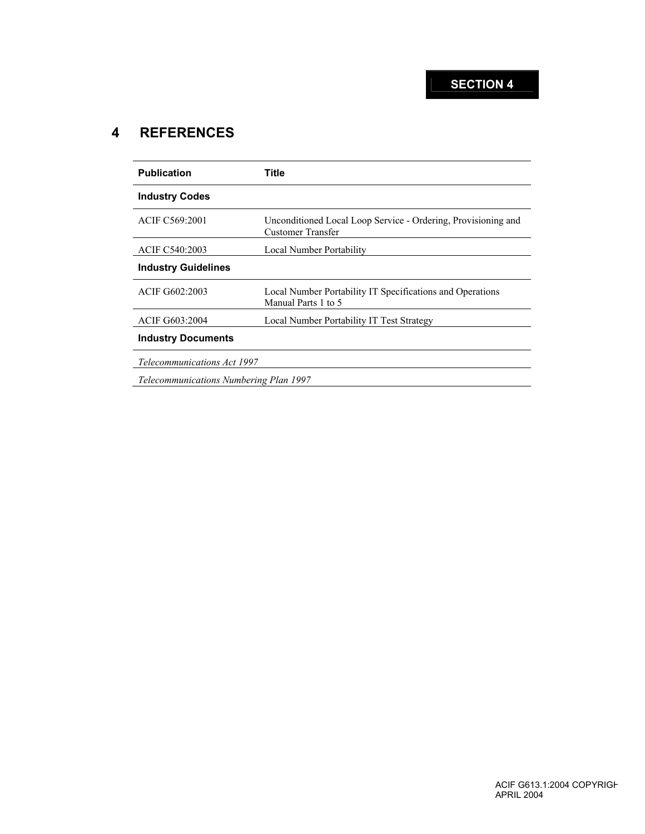## **4 REFERENCES**

| <b>Publication</b>                            | Title                                                                              |
|-----------------------------------------------|------------------------------------------------------------------------------------|
| <b>Industry Codes</b>                         |                                                                                    |
| <b>ACIF C569:2001</b>                         | Unconditioned Local Loop Service - Ordering, Provisioning and<br>Customer Transfer |
| <b>ACIF C540:2003</b>                         | Local Number Portability                                                           |
| <b>Industry Guidelines</b>                    |                                                                                    |
| <b>ACIF G602:2003</b>                         | Local Number Portability IT Specifications and Operations<br>Manual Parts 1 to 5   |
| <b>ACIF G603:2004</b>                         | Local Number Portability IT Test Strategy                                          |
| <b>Industry Documents</b>                     |                                                                                    |
| Telecommunications Act 1997                   |                                                                                    |
| <b>Telecommunications Numbering Plan 1997</b> |                                                                                    |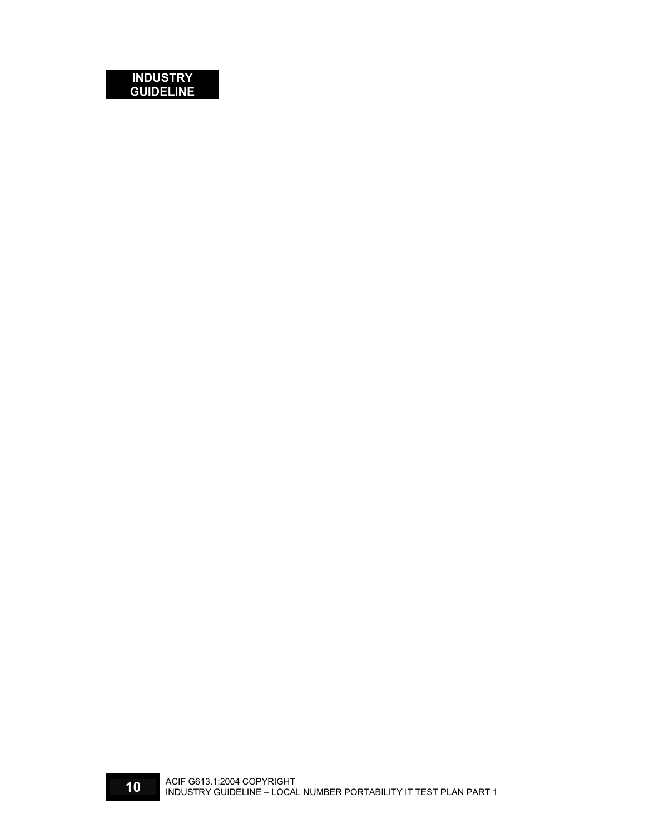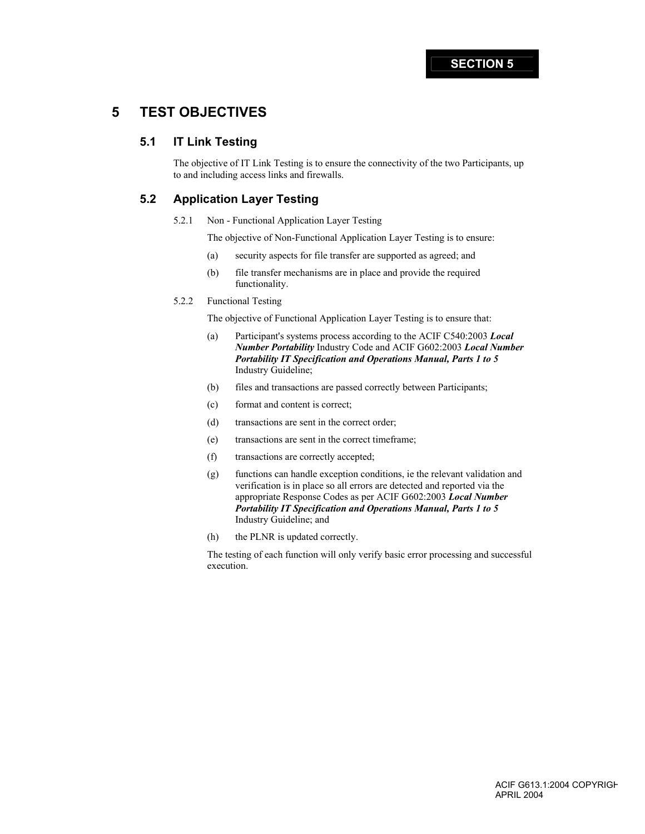## **5 TEST OBJECTIVES**

## **5.1 IT Link Testing**

The objective of IT Link Testing is to ensure the connectivity of the two Participants, up to and including access links and firewalls.

## **5.2 Application Layer Testing**

5.2.1 Non - Functional Application Layer Testing

The objective of Non-Functional Application Layer Testing is to ensure:

- (a) security aspects for file transfer are supported as agreed; and
- (b) file transfer mechanisms are in place and provide the required functionality.
- 5.2.2 Functional Testing

The objective of Functional Application Layer Testing is to ensure that:

- (a) Participant's systems process according to the ACIF C540:2003 *Local Number Portability* Industry Code and ACIF G602:2003 *Local Number Portability IT Specification and Operations Manual, Parts 1 to 5* Industry Guideline;
- (b) files and transactions are passed correctly between Participants;
- (c) format and content is correct;
- (d) transactions are sent in the correct order;
- (e) transactions are sent in the correct timeframe;
- (f) transactions are correctly accepted;
- (g) functions can handle exception conditions, ie the relevant validation and verification is in place so all errors are detected and reported via the appropriate Response Codes as per ACIF G602:2003 *Local Number Portability IT Specification and Operations Manual, Parts 1 to 5*  Industry Guideline; and
- (h) the PLNR is updated correctly.

The testing of each function will only verify basic error processing and successful execution.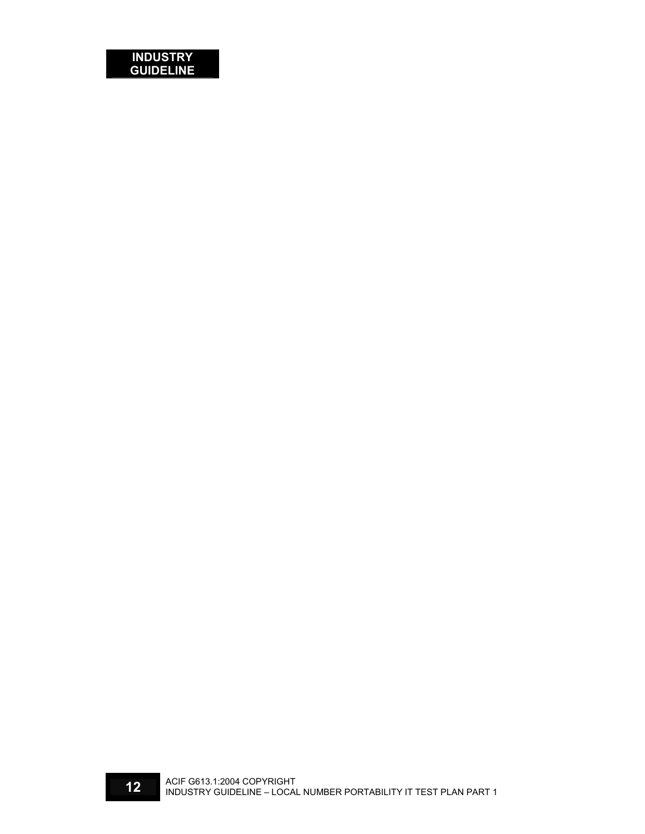

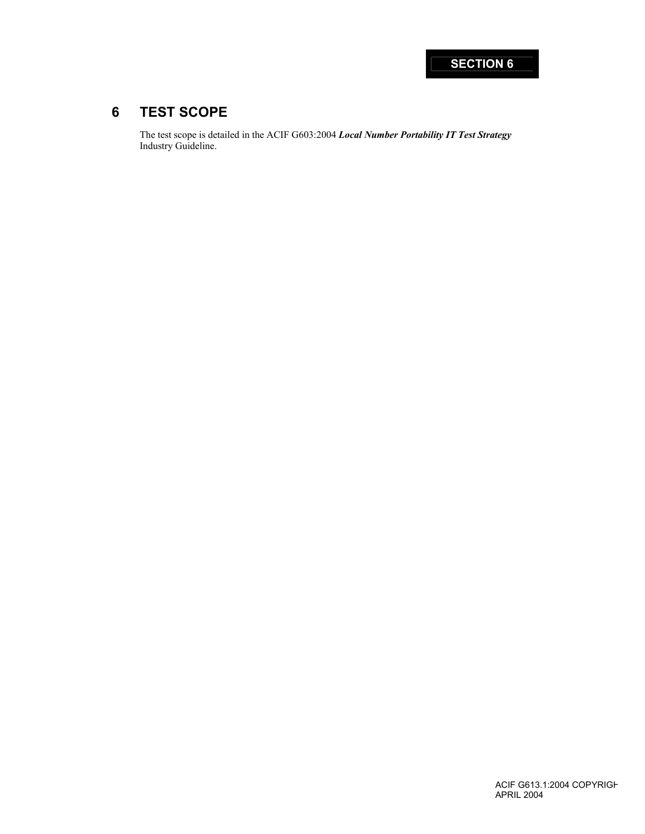## **6 TEST SCOPE**

The test scope is detailed in the ACIF G603:2004 *Local Number Portability IT Test Strategy* Industry Guideline.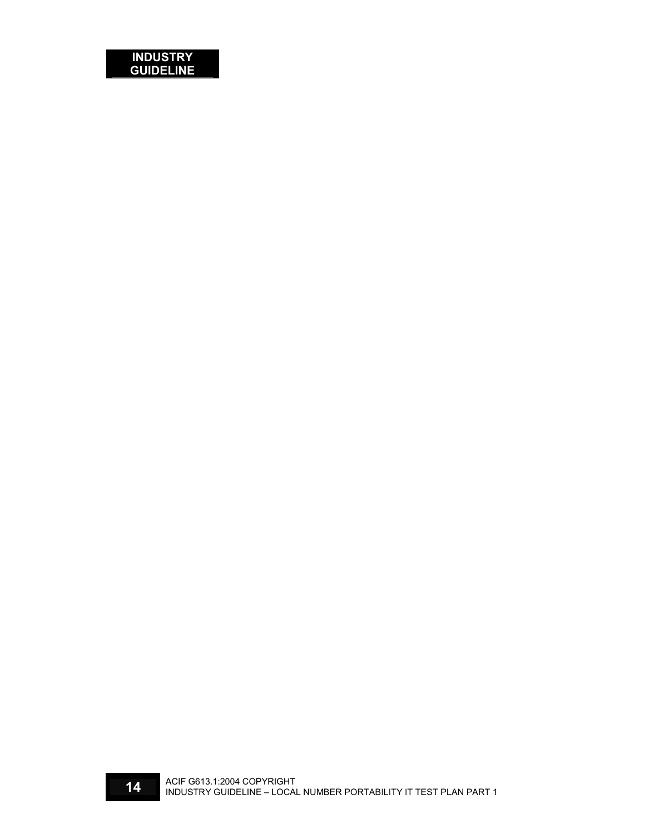

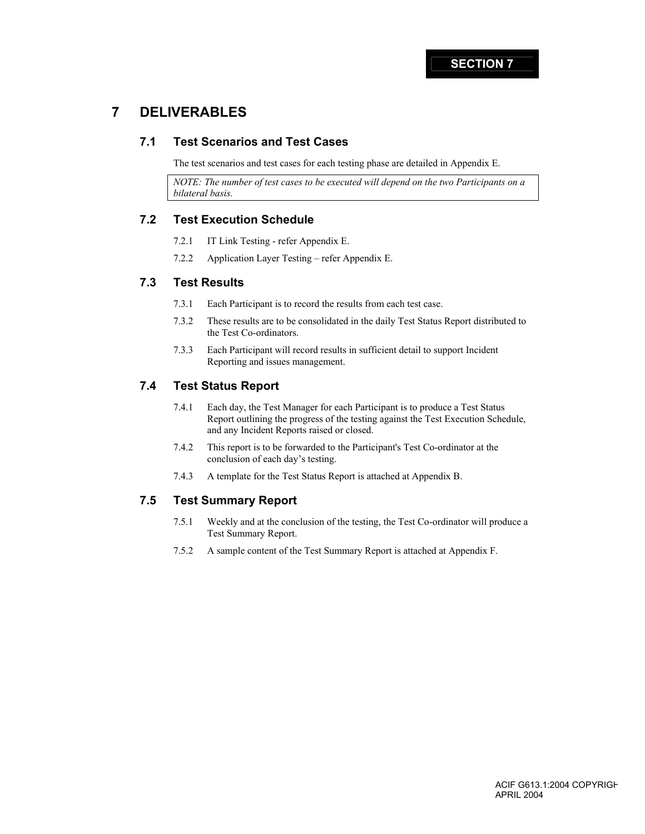## **7 DELIVERABLES**

## **7.1 Test Scenarios and Test Cases**

The test scenarios and test cases for each testing phase are detailed in Appendix E.

*NOTE: The number of test cases to be executed will depend on the two Participants on a bilateral basis.* 

## **7.2 Test Execution Schedule**

- 7.2.1 IT Link Testing refer Appendix E.
- 7.2.2 Application Layer Testing refer Appendix E.

### **7.3 Test Results**

- 7.3.1 Each Participant is to record the results from each test case.
- 7.3.2 These results are to be consolidated in the daily Test Status Report distributed to the Test Co-ordinators.
- 7.3.3 Each Participant will record results in sufficient detail to support Incident Reporting and issues management.

## **7.4 Test Status Report**

- 7.4.1 Each day, the Test Manager for each Participant is to produce a Test Status Report outlining the progress of the testing against the Test Execution Schedule, and any Incident Reports raised or closed.
- 7.4.2 This report is to be forwarded to the Participant's Test Co-ordinator at the conclusion of each day's testing.
- 7.4.3 A template for the Test Status Report is attached at Appendix B.

## **7.5 Test Summary Report**

- 7.5.1 Weekly and at the conclusion of the testing, the Test Co-ordinator will produce a Test Summary Report.
- 7.5.2 A sample content of the Test Summary Report is attached at Appendix F.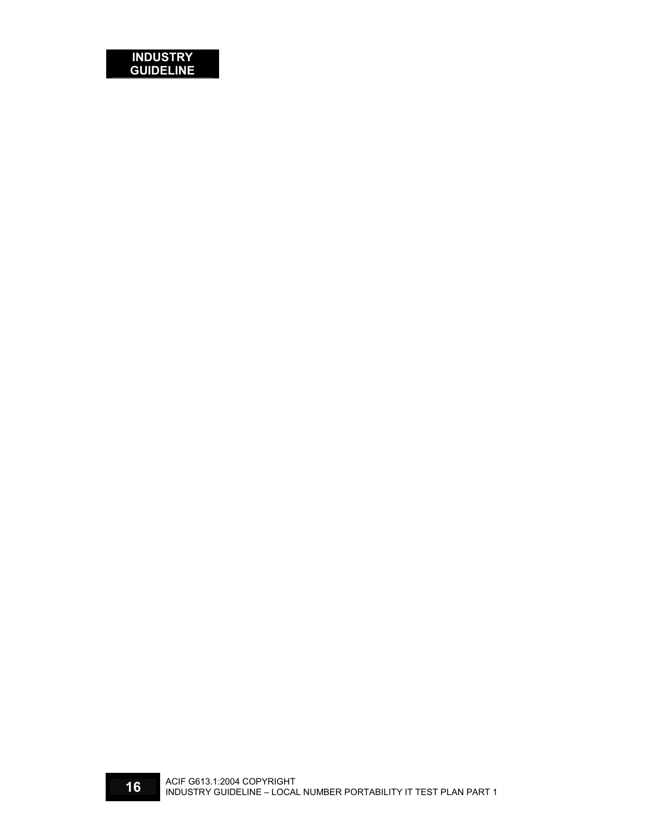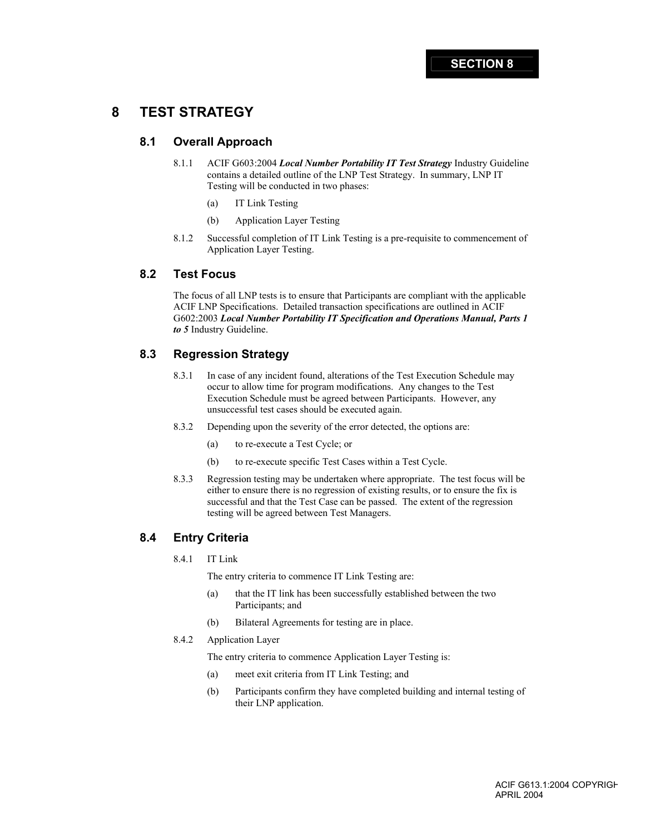## **8 TEST STRATEGY**

## **8.1 Overall Approach**

- 8.1.1 ACIF G603:2004 *Local Number Portability IT Test Strategy* Industry Guideline contains a detailed outline of the LNP Test Strategy. In summary, LNP IT Testing will be conducted in two phases:
	- (a) IT Link Testing
	- (b) Application Layer Testing
- 8.1.2 Successful completion of IT Link Testing is a pre-requisite to commencement of Application Layer Testing.

### **8.2 Test Focus**

The focus of all LNP tests is to ensure that Participants are compliant with the applicable ACIF LNP Specifications. Detailed transaction specifications are outlined in ACIF G602:2003 *Local Number Portability IT Specification and Operations Manual, Parts 1 to 5* Industry Guideline.

## **8.3 Regression Strategy**

- 8.3.1 In case of any incident found, alterations of the Test Execution Schedule may occur to allow time for program modifications. Any changes to the Test Execution Schedule must be agreed between Participants. However, any unsuccessful test cases should be executed again.
- 8.3.2 Depending upon the severity of the error detected, the options are:
	- (a) to re-execute a Test Cycle; or
	- (b) to re-execute specific Test Cases within a Test Cycle.
- 8.3.3 Regression testing may be undertaken where appropriate. The test focus will be either to ensure there is no regression of existing results, or to ensure the fix is successful and that the Test Case can be passed. The extent of the regression testing will be agreed between Test Managers.

## **8.4 Entry Criteria**

8.4.1 IT Link

The entry criteria to commence IT Link Testing are:

- (a) that the IT link has been successfully established between the two Participants; and
- (b) Bilateral Agreements for testing are in place.

#### 8.4.2 Application Layer

The entry criteria to commence Application Layer Testing is:

- (a) meet exit criteria from IT Link Testing; and
- (b) Participants confirm they have completed building and internal testing of their LNP application.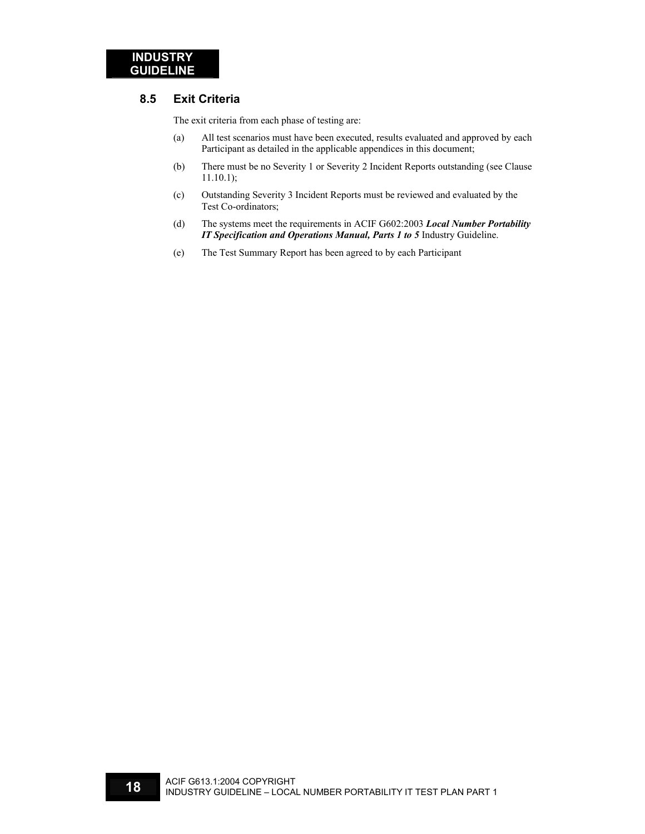## **8.5 Exit Criteria**

The exit criteria from each phase of testing are:

- (a) All test scenarios must have been executed, results evaluated and approved by each Participant as detailed in the applicable appendices in this document;
- (b) There must be no Severity 1 or Severity 2 Incident Reports outstanding (see Clause 11.10.1);
- (c) Outstanding Severity 3 Incident Reports must be reviewed and evaluated by the Test Co-ordinators;
- (d) The systems meet the requirements in ACIF G602:2003 *Local Number Portability IT Specification and Operations Manual, Parts 1 to 5* Industry Guideline.
- (e) The Test Summary Report has been agreed to by each Participant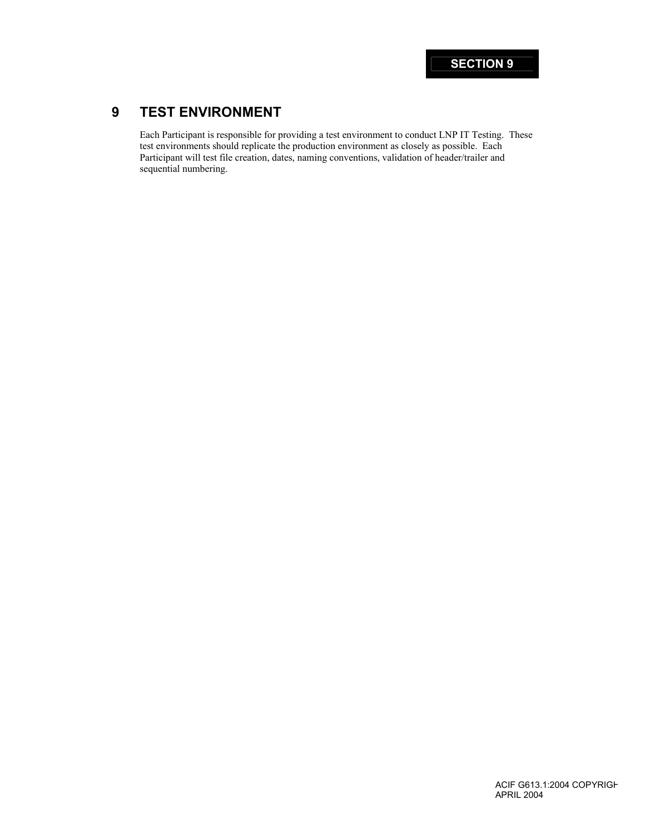## **9 TEST ENVIRONMENT**

Each Participant is responsible for providing a test environment to conduct LNP IT Testing. These test environments should replicate the production environment as closely as possible. Each Participant will test file creation, dates, naming conventions, validation of header/trailer and sequential numbering.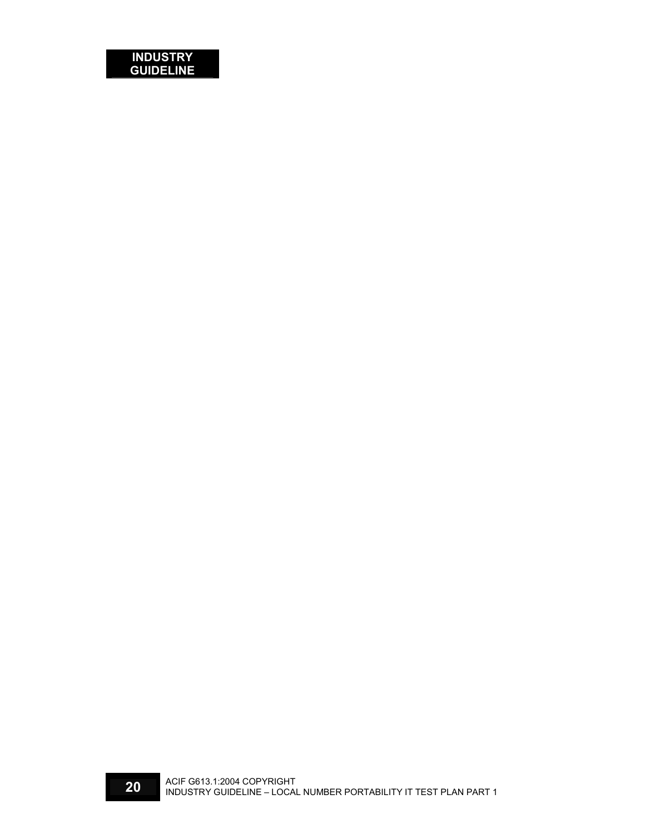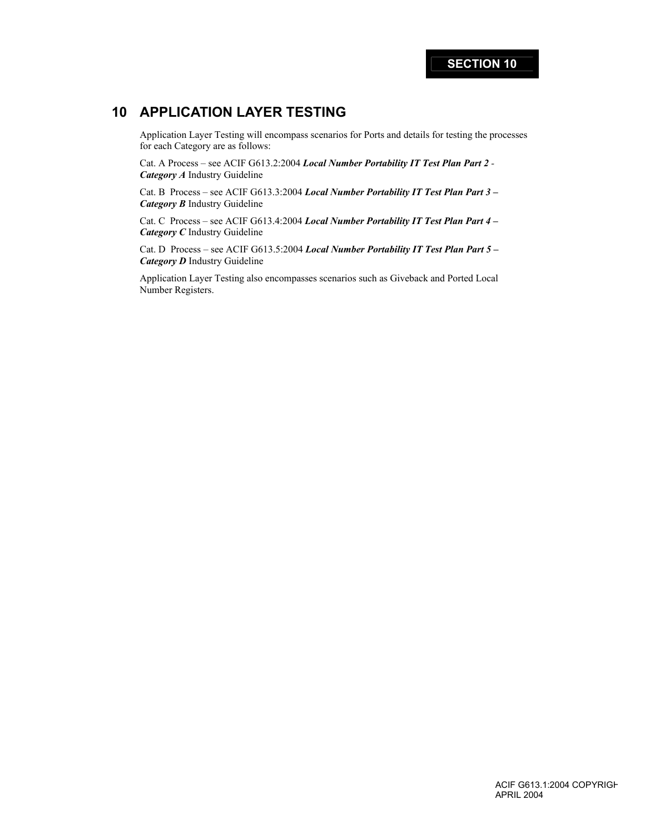## **10 APPLICATION LAYER TESTING**

Application Layer Testing will encompass scenarios for Ports and details for testing the processes for each Category are as follows:

Cat. A Process – see ACIF G613.2:2004 *Local Number Portability IT Test Plan Part 2 - Category A* Industry Guideline

Cat. B Process – see ACIF G613.3:2004 *Local Number Portability IT Test Plan Part 3 – Category B* Industry Guideline

Cat. C Process – see ACIF G613.4:2004 *Local Number Portability IT Test Plan Part 4 – Category C* Industry Guideline

Cat. D Process – see ACIF G613.5:2004 *Local Number Portability IT Test Plan Part 5 – Category D* Industry Guideline

Application Layer Testing also encompasses scenarios such as Giveback and Ported Local Number Registers.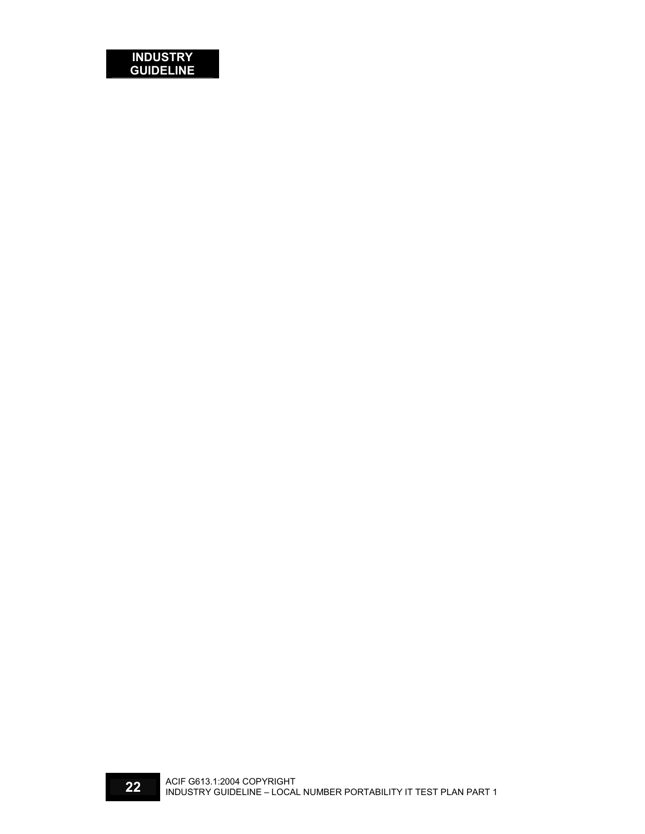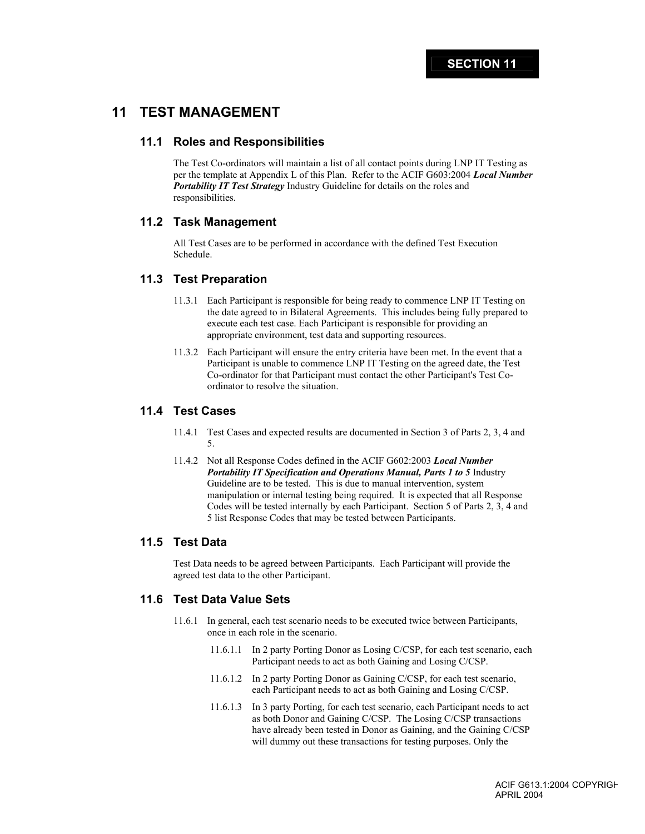## **11 TEST MANAGEMENT**

## **11.1 Roles and Responsibilities**

The Test Co-ordinators will maintain a list of all contact points during LNP IT Testing as per the template at Appendix L of this Plan. Refer to the ACIF G603:2004 *Local Number Portability IT Test Strategy* Industry Guideline for details on the roles and responsibilities.

## **11.2 Task Management**

All Test Cases are to be performed in accordance with the defined Test Execution Schedule.

### **11.3 Test Preparation**

- 11.3.1 Each Participant is responsible for being ready to commence LNP IT Testing on the date agreed to in Bilateral Agreements. This includes being fully prepared to execute each test case. Each Participant is responsible for providing an appropriate environment, test data and supporting resources.
- 11.3.2 Each Participant will ensure the entry criteria have been met. In the event that a Participant is unable to commence LNP IT Testing on the agreed date, the Test Co-ordinator for that Participant must contact the other Participant's Test Coordinator to resolve the situation.

## **11.4 Test Cases**

- 11.4.1 Test Cases and expected results are documented in Section 3 of Parts 2, 3, 4 and 5.
- 11.4.2 Not all Response Codes defined in the ACIF G602:2003 *Local Number Portability IT Specification and Operations Manual, Parts 1 to 5* Industry Guideline are to be tested. This is due to manual intervention, system manipulation or internal testing being required. It is expected that all Response Codes will be tested internally by each Participant. Section 5 of Parts 2, 3, 4 and 5 list Response Codes that may be tested between Participants.

### **11.5 Test Data**

Test Data needs to be agreed between Participants. Each Participant will provide the agreed test data to the other Participant.

### **11.6 Test Data Value Sets**

- 11.6.1 In general, each test scenario needs to be executed twice between Participants, once in each role in the scenario.
	- 11.6.1.1 In 2 party Porting Donor as Losing C/CSP, for each test scenario, each Participant needs to act as both Gaining and Losing C/CSP.
	- 11.6.1.2 In 2 party Porting Donor as Gaining C/CSP, for each test scenario, each Participant needs to act as both Gaining and Losing C/CSP.
	- 11.6.1.3 In 3 party Porting, for each test scenario, each Participant needs to act as both Donor and Gaining C/CSP. The Losing C/CSP transactions have already been tested in Donor as Gaining, and the Gaining C/CSP will dummy out these transactions for testing purposes. Only the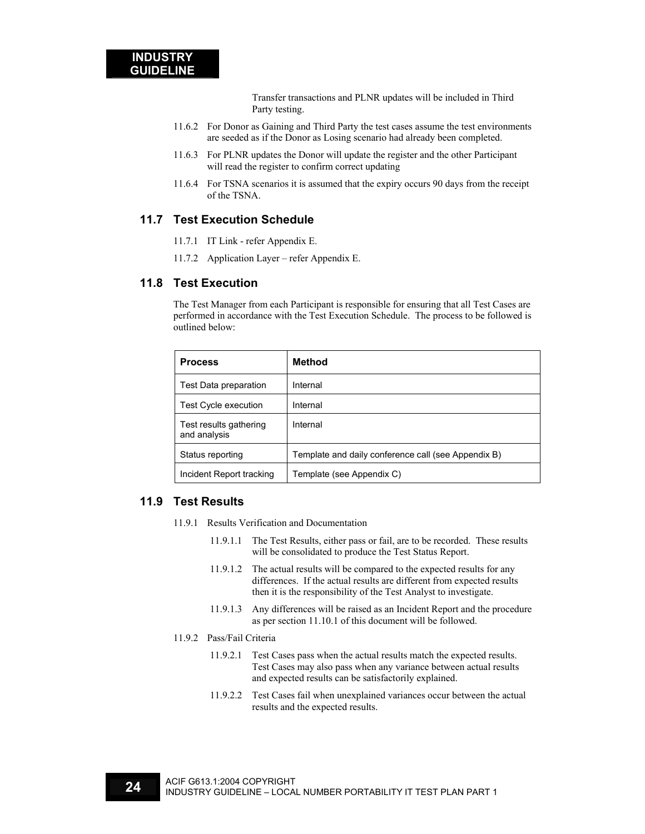Transfer transactions and PLNR updates will be included in Third Party testing.

- 11.6.2 For Donor as Gaining and Third Party the test cases assume the test environments are seeded as if the Donor as Losing scenario had already been completed.
- 11.6.3 For PLNR updates the Donor will update the register and the other Participant will read the register to confirm correct updating
- 11.6.4 For TSNA scenarios it is assumed that the expiry occurs 90 days from the receipt of the TSNA.

### **11.7 Test Execution Schedule**

- 11.7.1 IT Link refer Appendix E.
- 11.7.2 Application Layer refer Appendix E.

### **11.8 Test Execution**

The Test Manager from each Participant is responsible for ensuring that all Test Cases are performed in accordance with the Test Execution Schedule. The process to be followed is outlined below:

| <b>Process</b>                         | <b>Method</b>                                       |
|----------------------------------------|-----------------------------------------------------|
| Test Data preparation                  | Internal                                            |
| <b>Test Cycle execution</b>            | Internal                                            |
| Test results gathering<br>and analysis | Internal                                            |
| Status reporting                       | Template and daily conference call (see Appendix B) |
| Incident Report tracking               | Template (see Appendix C)                           |

### **11.9 Test Results**

- 11.9.1 Results Verification and Documentation
	- 11.9.1.1 The Test Results, either pass or fail, are to be recorded. These results will be consolidated to produce the Test Status Report.
	- 11.9.1.2 The actual results will be compared to the expected results for any differences. If the actual results are different from expected results then it is the responsibility of the Test Analyst to investigate.
	- 11.9.1.3 Any differences will be raised as an Incident Report and the procedure as per section 11.10.1 of this document will be followed.

### 11.9.2 Pass/Fail Criteria

- 11.9.2.1 Test Cases pass when the actual results match the expected results. Test Cases may also pass when any variance between actual results and expected results can be satisfactorily explained.
- 11.9.2.2 Test Cases fail when unexplained variances occur between the actual results and the expected results.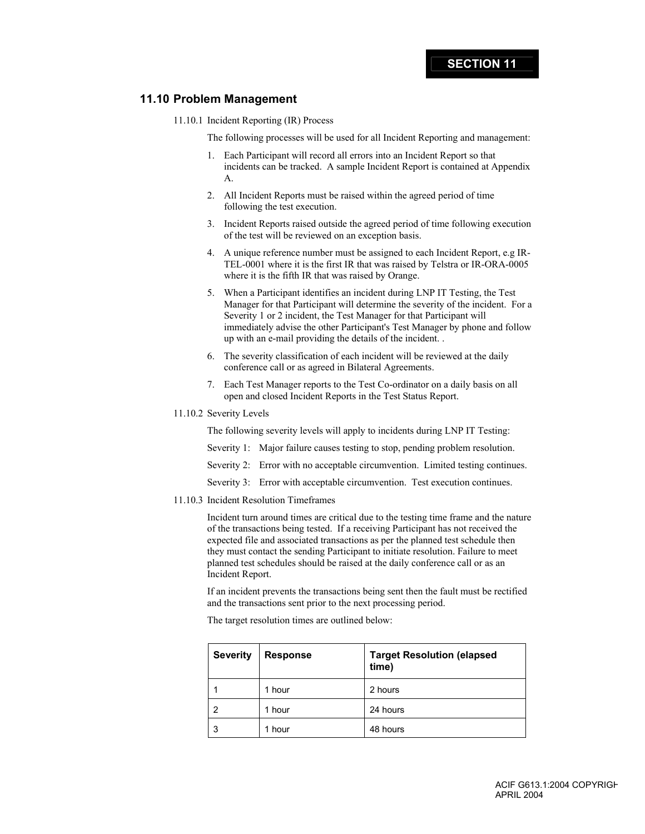### **11.10 Problem Management**

#### 11.10.1 Incident Reporting (IR) Process

The following processes will be used for all Incident Reporting and management:

- 1. Each Participant will record all errors into an Incident Report so that incidents can be tracked. A sample Incident Report is contained at Appendix A.
- 2. All Incident Reports must be raised within the agreed period of time following the test execution.
- 3. Incident Reports raised outside the agreed period of time following execution of the test will be reviewed on an exception basis.
- 4. A unique reference number must be assigned to each Incident Report, e.g IR-TEL-0001 where it is the first IR that was raised by Telstra or IR-ORA-0005 where it is the fifth IR that was raised by Orange.
- 5. When a Participant identifies an incident during LNP IT Testing, the Test Manager for that Participant will determine the severity of the incident. For a Severity 1 or 2 incident, the Test Manager for that Participant will immediately advise the other Participant's Test Manager by phone and follow up with an e-mail providing the details of the incident. .
- 6. The severity classification of each incident will be reviewed at the daily conference call or as agreed in Bilateral Agreements.
- 7. Each Test Manager reports to the Test Co-ordinator on a daily basis on all open and closed Incident Reports in the Test Status Report.

#### 11.10.2 Severity Levels

The following severity levels will apply to incidents during LNP IT Testing:

- Severity 1: Major failure causes testing to stop, pending problem resolution.
- Severity 2: Error with no acceptable circumvention. Limited testing continues.
- Severity 3: Error with acceptable circumvention. Test execution continues.
- 11.10.3 Incident Resolution Timeframes

Incident turn around times are critical due to the testing time frame and the nature of the transactions being tested. If a receiving Participant has not received the expected file and associated transactions as per the planned test schedule then they must contact the sending Participant to initiate resolution. Failure to meet planned test schedules should be raised at the daily conference call or as an Incident Report.

If an incident prevents the transactions being sent then the fault must be rectified and the transactions sent prior to the next processing period.

The target resolution times are outlined below:

| <b>Severity</b> | <b>Response</b> | <b>Target Resolution (elapsed</b><br>time) |
|-----------------|-----------------|--------------------------------------------|
|                 | 1 hour          | 2 hours                                    |
| 2               | 1 hour          | 24 hours                                   |
| 3               | 1 hour          | 48 hours                                   |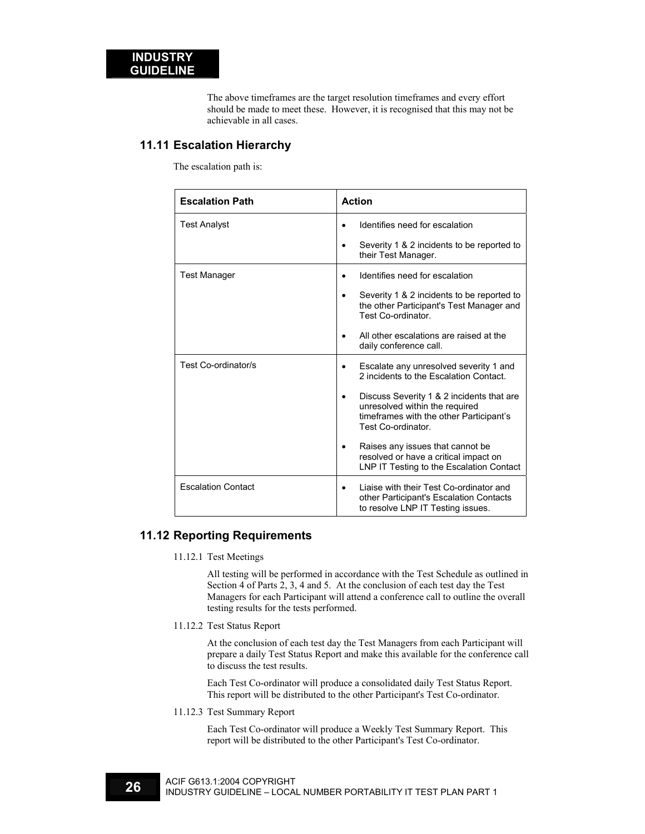

The above timeframes are the target resolution timeframes and every effort should be made to meet these. However, it is recognised that this may not be achievable in all cases.

## **11.11 Escalation Hierarchy**

The escalation path is:

| <b>Escalation Path</b>    | <b>Action</b>                                                                                                                                |
|---------------------------|----------------------------------------------------------------------------------------------------------------------------------------------|
| <b>Test Analyst</b>       | Identifies need for escalation                                                                                                               |
|                           | Severity 1 & 2 incidents to be reported to<br>their Test Manager.                                                                            |
| <b>Test Manager</b>       | Identifies need for escalation                                                                                                               |
|                           | Severity 1 & 2 incidents to be reported to<br>the other Participant's Test Manager and<br>Test Co-ordinator.                                 |
|                           | All other escalations are raised at the<br>daily conference call.                                                                            |
| Test Co-ordinator/s       | Escalate any unresolved severity 1 and<br>2 incidents to the Escalation Contact.                                                             |
|                           | Discuss Severity 1 & 2 incidents that are<br>unresolved within the required<br>timeframes with the other Participant's<br>Test Co-ordinator. |
|                           | Raises any issues that cannot be<br>resolved or have a critical impact on<br>LNP IT Testing to the Escalation Contact                        |
| <b>Escalation Contact</b> | Liaise with their Test Co-ordinator and<br>other Participant's Escalation Contacts<br>to resolve LNP IT Testing issues.                      |

## **11.12 Reporting Requirements**

11.12.1 Test Meetings

All testing will be performed in accordance with the Test Schedule as outlined in Section 4 of Parts 2, 3, 4 and 5. At the conclusion of each test day the Test Managers for each Participant will attend a conference call to outline the overall testing results for the tests performed.

11.12.2 Test Status Report

At the conclusion of each test day the Test Managers from each Participant will prepare a daily Test Status Report and make this available for the conference call to discuss the test results.

Each Test Co-ordinator will produce a consolidated daily Test Status Report. This report will be distributed to the other Participant's Test Co-ordinator.

11.12.3 Test Summary Report

Each Test Co-ordinator will produce a Weekly Test Summary Report. This report will be distributed to the other Participant's Test Co-ordinator.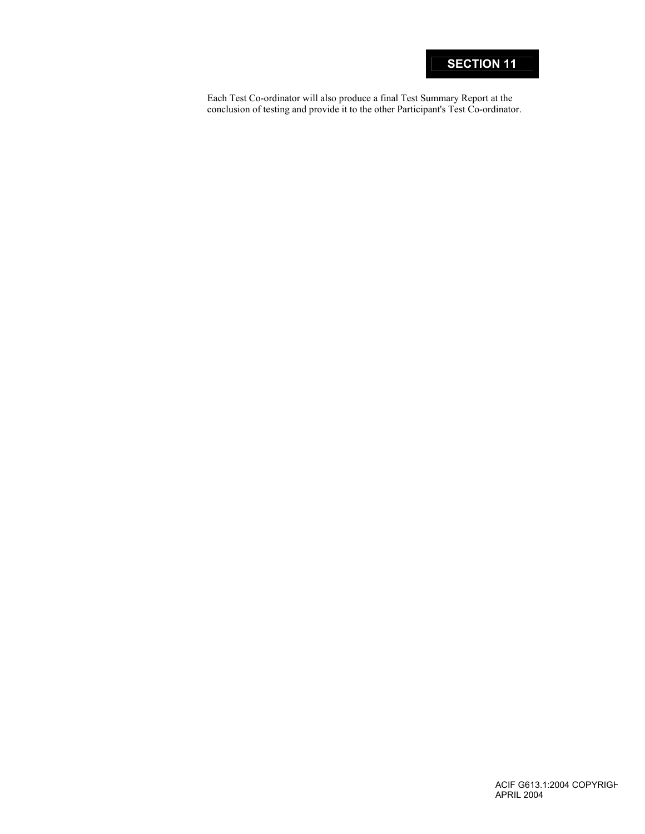## **SECTION 11**

Each Test Co-ordinator will also produce a final Test Summary Report at the conclusion of testing and provide it to the other Participant's Test Co-ordinator.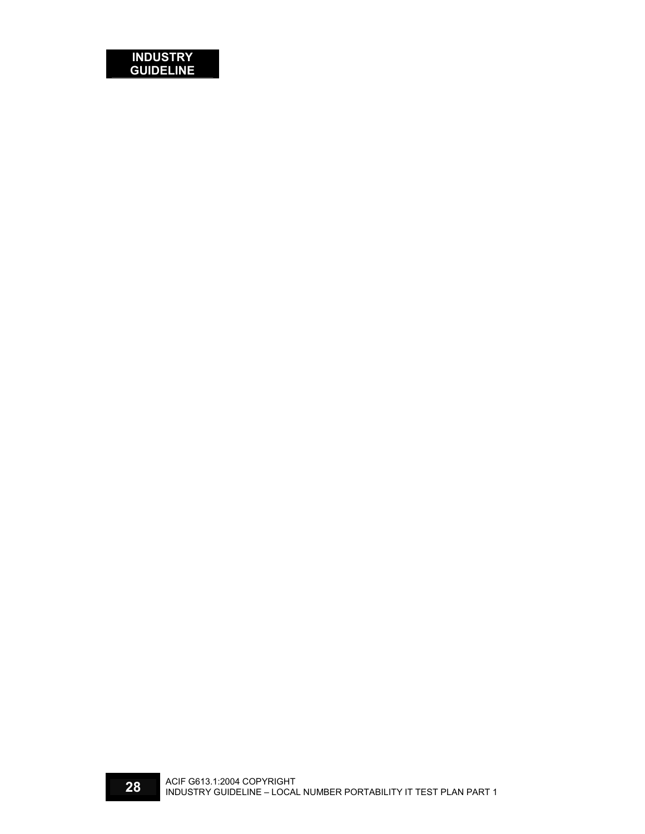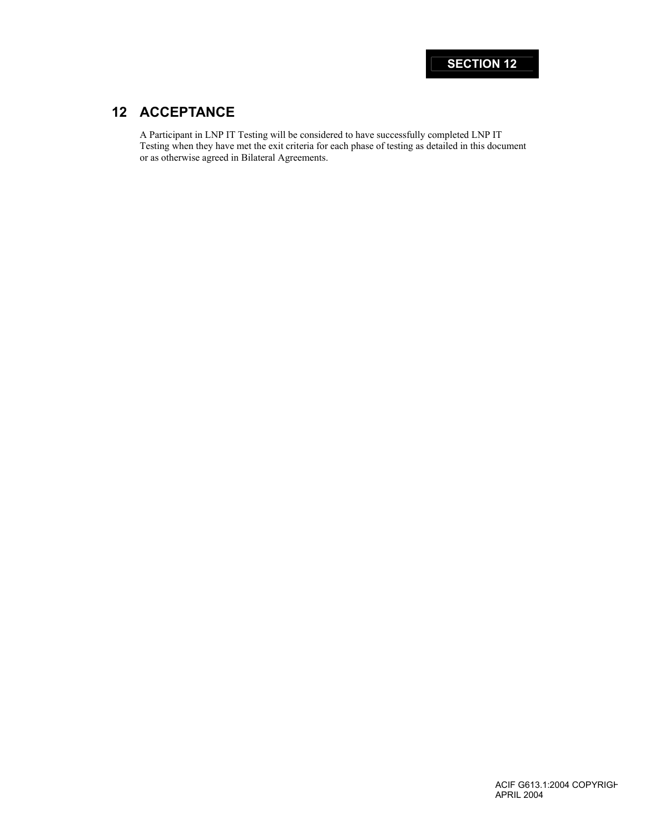## **12 ACCEPTANCE**

A Participant in LNP IT Testing will be considered to have successfully completed LNP IT Testing when they have met the exit criteria for each phase of testing as detailed in this document or as otherwise agreed in Bilateral Agreements.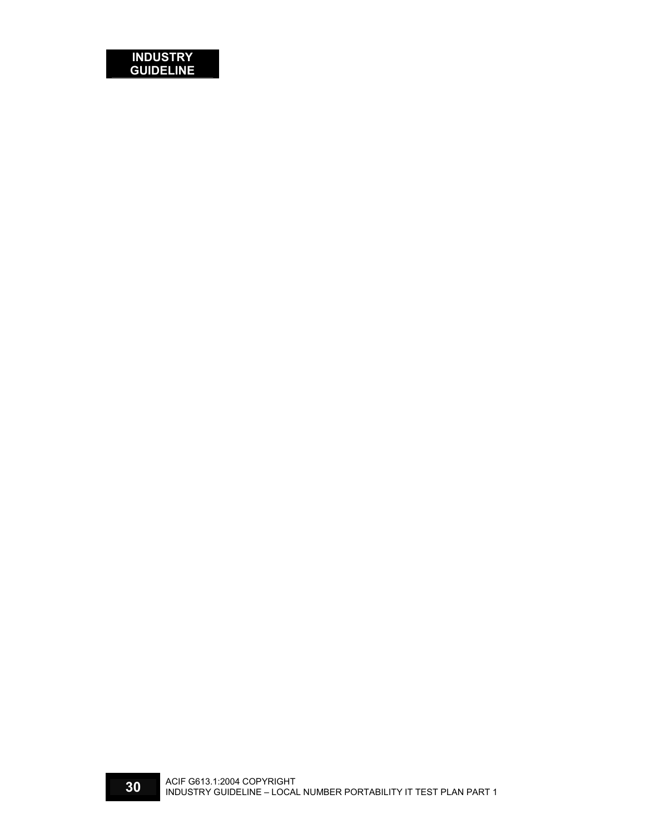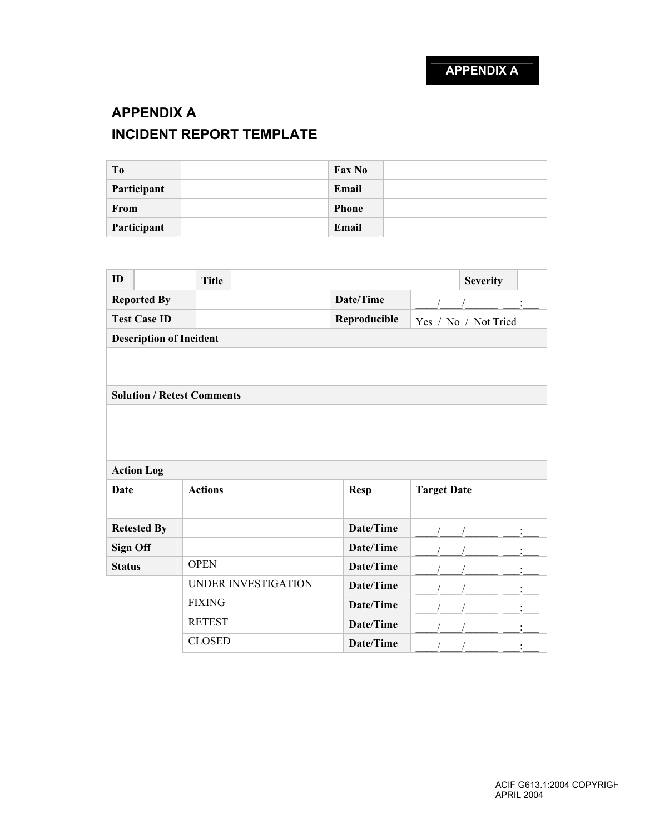## **APPENDIX A INCIDENT REPORT TEMPLATE**

| T <sub>0</sub> | Fax No       |  |
|----------------|--------------|--|
| Participant    | Email        |  |
| From           | <b>Phone</b> |  |
| Participant    | Email        |  |

| ID              |                                   | <b>Title</b>   |                            |              |                    | <b>Severity</b>      |  |
|-----------------|-----------------------------------|----------------|----------------------------|--------------|--------------------|----------------------|--|
|                 | <b>Reported By</b>                |                |                            | Date/Time    |                    |                      |  |
|                 | <b>Test Case ID</b>               |                |                            | Reproducible |                    | Yes / No / Not Tried |  |
|                 | <b>Description of Incident</b>    |                |                            |              |                    |                      |  |
|                 |                                   |                |                            |              |                    |                      |  |
|                 |                                   |                |                            |              |                    |                      |  |
|                 | <b>Solution / Retest Comments</b> |                |                            |              |                    |                      |  |
|                 |                                   |                |                            |              |                    |                      |  |
|                 |                                   |                |                            |              |                    |                      |  |
|                 |                                   |                |                            |              |                    |                      |  |
|                 | <b>Action Log</b>                 |                |                            |              |                    |                      |  |
| <b>Date</b>     |                                   | <b>Actions</b> |                            | <b>Resp</b>  | <b>Target Date</b> |                      |  |
|                 |                                   |                |                            |              |                    |                      |  |
|                 | <b>Retested By</b>                |                |                            | Date/Time    |                    |                      |  |
| <b>Sign Off</b> |                                   |                |                            | Date/Time    |                    |                      |  |
| <b>Status</b>   |                                   | <b>OPEN</b>    |                            | Date/Time    |                    |                      |  |
|                 |                                   |                | <b>UNDER INVESTIGATION</b> | Date/Time    |                    |                      |  |
|                 |                                   | <b>FIXING</b>  |                            | Date/Time    |                    |                      |  |
|                 |                                   | <b>RETEST</b>  |                            | Date/Time    |                    |                      |  |
|                 |                                   | <b>CLOSED</b>  |                            |              |                    |                      |  |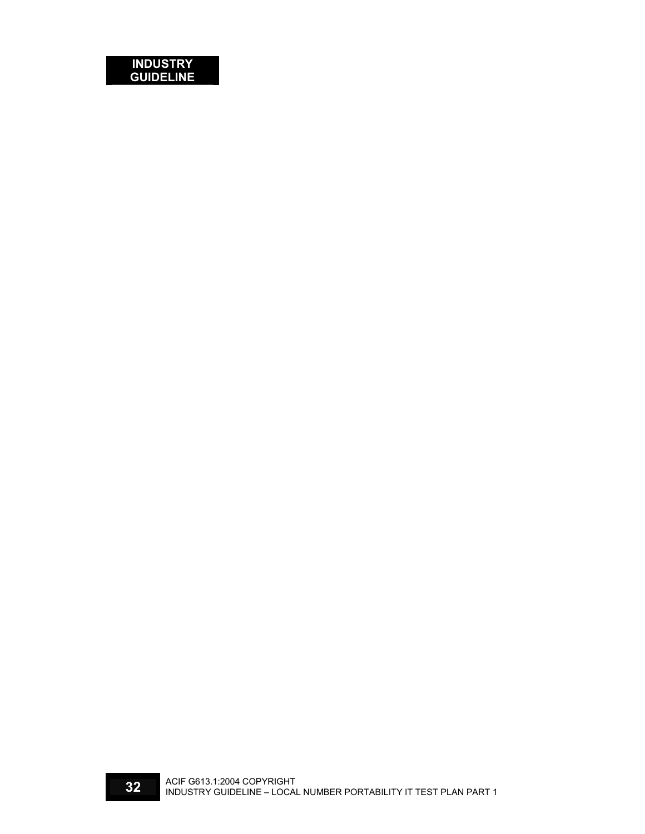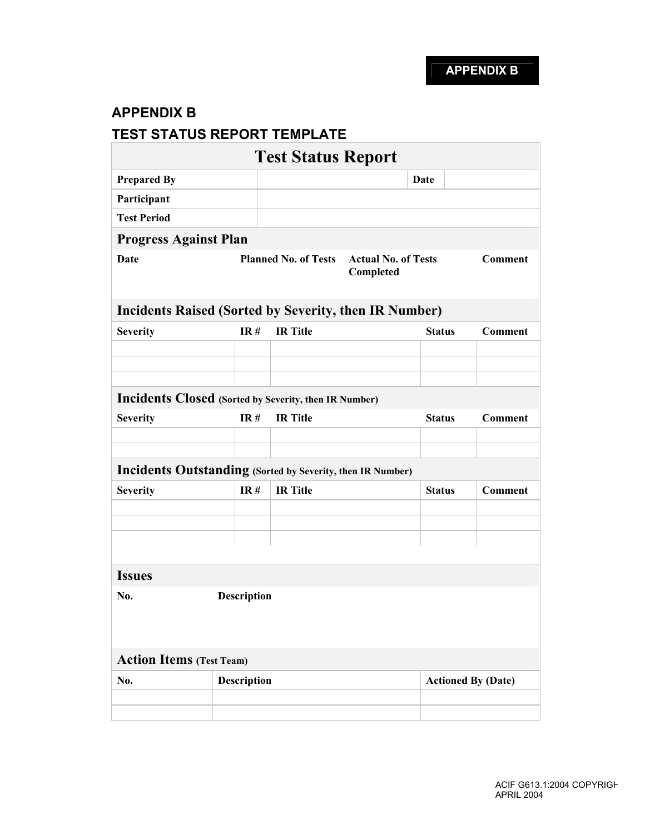**APPENDIX B** 

## **TEST STATUS REPORT TEMPLATE**

| <b>Test Status Report</b>                                         |                    |                             |                                         |               |                           |  |  |
|-------------------------------------------------------------------|--------------------|-----------------------------|-----------------------------------------|---------------|---------------------------|--|--|
| <b>Prepared By</b>                                                |                    |                             |                                         | Date          |                           |  |  |
| Participant                                                       |                    |                             |                                         |               |                           |  |  |
| <b>Test Period</b>                                                |                    |                             |                                         |               |                           |  |  |
| <b>Progress Against Plan</b>                                      |                    |                             |                                         |               |                           |  |  |
| Date                                                              |                    | <b>Planned No. of Tests</b> | <b>Actual No. of Tests</b><br>Completed |               | <b>Comment</b>            |  |  |
| <b>Incidents Raised (Sorted by Severity, then IR Number)</b>      |                    |                             |                                         |               |                           |  |  |
| <b>Severity</b>                                                   | IR#                | <b>IR</b> Title             |                                         | <b>Status</b> | Comment                   |  |  |
|                                                                   |                    |                             |                                         |               |                           |  |  |
|                                                                   |                    |                             |                                         |               |                           |  |  |
|                                                                   |                    |                             |                                         |               |                           |  |  |
| <b>Incidents Closed</b> (Sorted by Severity, then IR Number)      |                    |                             |                                         |               |                           |  |  |
| <b>Severity</b>                                                   | IR#                | <b>IR</b> Title             |                                         | <b>Status</b> | <b>Comment</b>            |  |  |
|                                                                   |                    |                             |                                         |               |                           |  |  |
| <b>Incidents Outstanding</b> (Sorted by Severity, then IR Number) |                    |                             |                                         |               |                           |  |  |
| <b>Severity</b>                                                   | IR#                | <b>IR</b> Title             |                                         | <b>Status</b> | Comment                   |  |  |
|                                                                   |                    |                             |                                         |               |                           |  |  |
|                                                                   |                    |                             |                                         |               |                           |  |  |
|                                                                   |                    |                             |                                         |               |                           |  |  |
| <b>Issues</b>                                                     |                    |                             |                                         |               |                           |  |  |
| No.                                                               | <b>Description</b> |                             |                                         |               |                           |  |  |
| <b>Action Items</b> (Test Team)                                   |                    |                             |                                         |               |                           |  |  |
| No.                                                               | Description        |                             |                                         |               | <b>Actioned By (Date)</b> |  |  |
|                                                                   |                    |                             |                                         |               |                           |  |  |
|                                                                   |                    |                             |                                         |               |                           |  |  |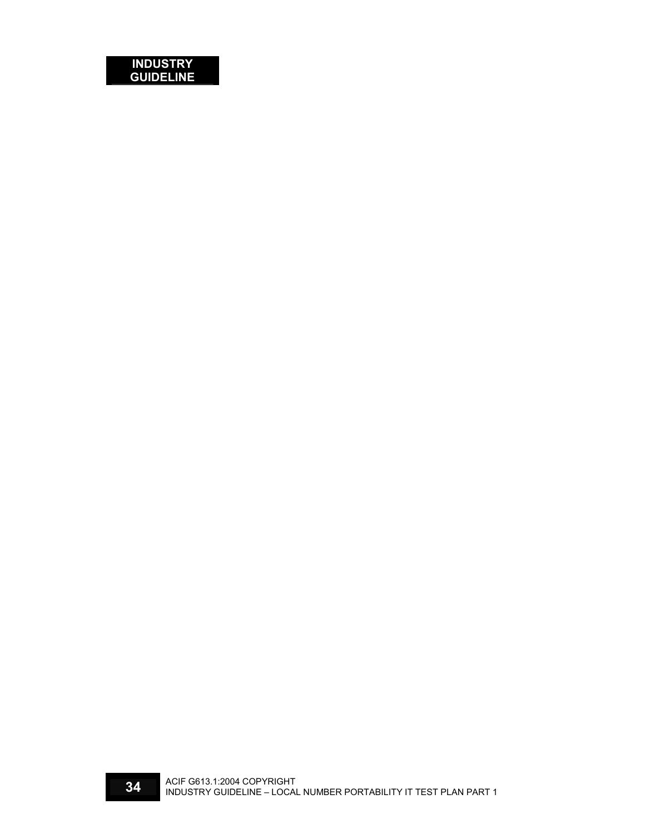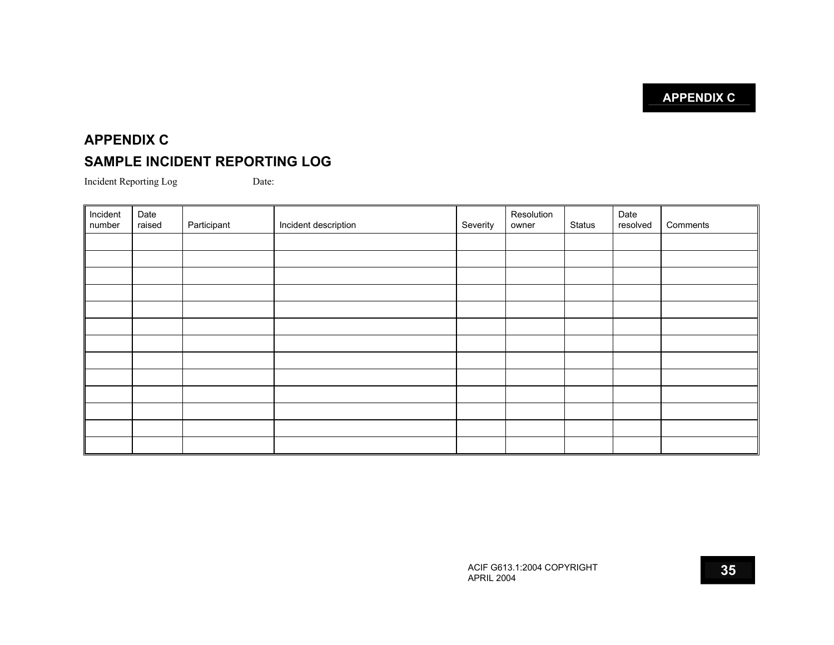**APPENDIX C** 

## **APPENDIX C SAMPLE INCIDENT REPORTING LOG**

Incident Reporting Log Date:

Incident number Date raised Participant | Incident description | Severity Resolution owner Status Date resolved Comments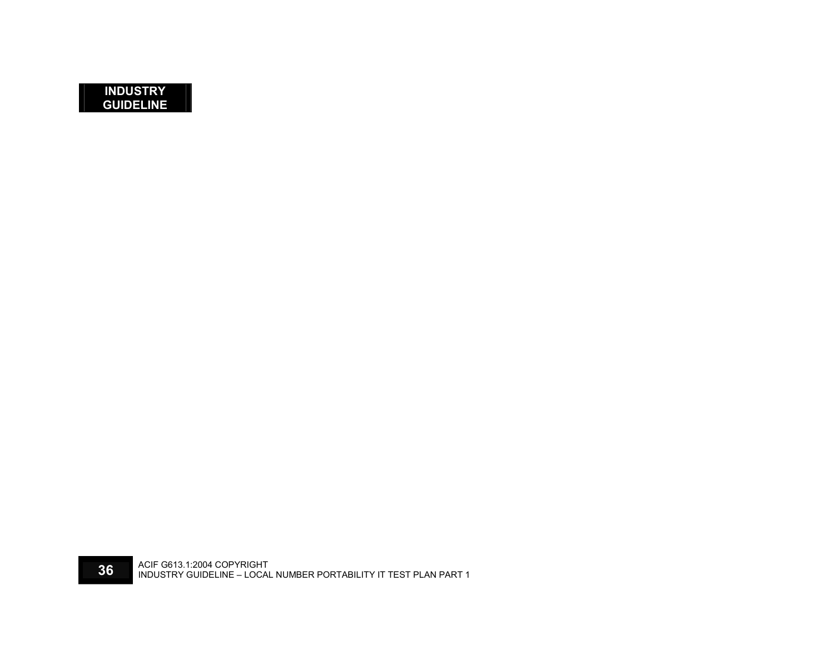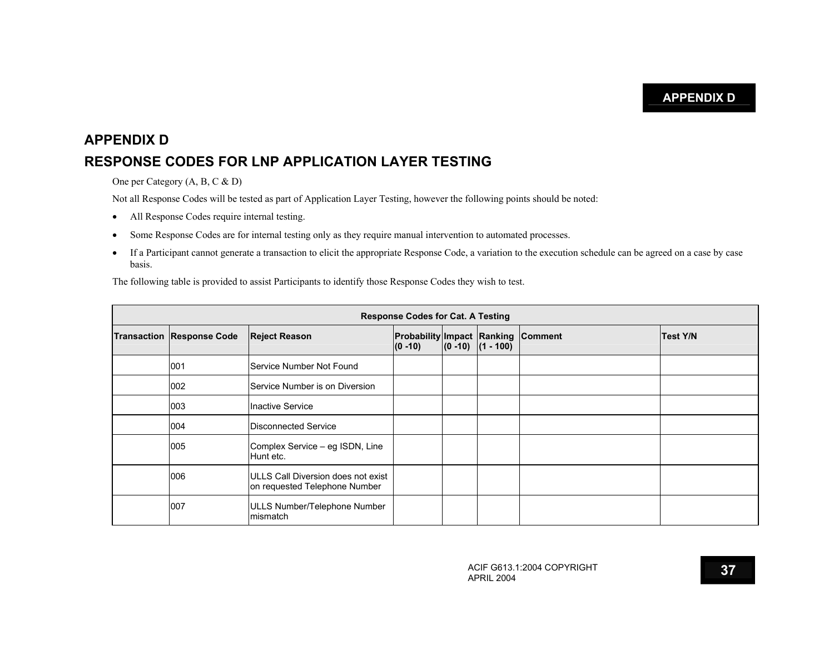## **APPENDIX D RESPONSE CODES FOR LNP APPLICATION LAYER TESTING**

One per Category (A, B, C & D)

Not all Response Codes will be tested as part of Application Layer Testing, however the following points should be noted:

- All Response Codes require internal testing.
- •Some Response Codes are for internal testing only as they require manual intervention to automated processes.
- If a Participant cannot generate a transaction to elicit the appropriate Response Code, a variation to the execution schedule can be agreed on a case by case basis.

The following table is provided to assist Participants to identify those Response Codes they wish to test.

| <b>Response Codes for Cat. A Testing</b> |                                  |                                                                     |                                                         |  |                       |  |                 |
|------------------------------------------|----------------------------------|---------------------------------------------------------------------|---------------------------------------------------------|--|-----------------------|--|-----------------|
|                                          | <b>Transaction Response Code</b> | <b>Reject Reason</b>                                                | <b>Probability Impact Ranking Comment</b><br>$(0 - 10)$ |  | $(0 -10)$ $(1 - 100)$ |  | <b>Test Y/N</b> |
|                                          | 001                              | Service Number Not Found                                            |                                                         |  |                       |  |                 |
|                                          | 002                              | Service Number is on Diversion                                      |                                                         |  |                       |  |                 |
|                                          | 003                              | <b>Inactive Service</b>                                             |                                                         |  |                       |  |                 |
|                                          | 004                              | Disconnected Service                                                |                                                         |  |                       |  |                 |
|                                          | 005                              | Complex Service - eg ISDN, Line<br>Hunt etc.                        |                                                         |  |                       |  |                 |
|                                          | 006                              | ULLS Call Diversion does not exist<br>on requested Telephone Number |                                                         |  |                       |  |                 |
|                                          | 007                              | ULLS Number/Telephone Number<br>Imismatch                           |                                                         |  |                       |  |                 |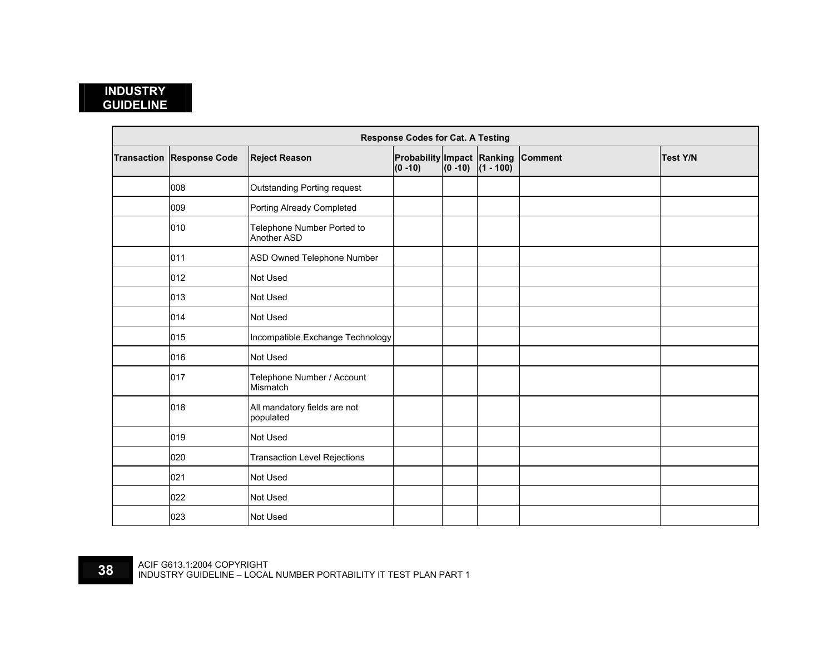# **INDUSTRY GUIDELINE**

| <b>Response Codes for Cat. A Testing</b> |                                           |                                                         |            |             |  |                 |  |  |
|------------------------------------------|-------------------------------------------|---------------------------------------------------------|------------|-------------|--|-----------------|--|--|
| <b>Transaction Response Code</b>         | <b>Reject Reason</b>                      | <b>Probability Impact Ranking Comment</b><br>$(0 - 10)$ | $(0 - 10)$ | $(1 - 100)$ |  | <b>Test Y/N</b> |  |  |
| 008                                      | Outstanding Porting request               |                                                         |            |             |  |                 |  |  |
| 009                                      | Porting Already Completed                 |                                                         |            |             |  |                 |  |  |
| 010                                      | Telephone Number Ported to<br>Another ASD |                                                         |            |             |  |                 |  |  |
| 011                                      | ASD Owned Telephone Number                |                                                         |            |             |  |                 |  |  |
| 012                                      | Not Used                                  |                                                         |            |             |  |                 |  |  |
| 013                                      | Not Used                                  |                                                         |            |             |  |                 |  |  |
| 014                                      | Not Used                                  |                                                         |            |             |  |                 |  |  |
| 015                                      | Incompatible Exchange Technology          |                                                         |            |             |  |                 |  |  |
| 016                                      | Not Used                                  |                                                         |            |             |  |                 |  |  |
| 017                                      | Telephone Number / Account<br>Mismatch    |                                                         |            |             |  |                 |  |  |
| 018                                      | All mandatory fields are not<br>populated |                                                         |            |             |  |                 |  |  |
| 019                                      | <b>Not Used</b>                           |                                                         |            |             |  |                 |  |  |
| 020                                      | Transaction Level Rejections              |                                                         |            |             |  |                 |  |  |
| 021                                      | Not Used                                  |                                                         |            |             |  |                 |  |  |
| 022                                      | Not Used                                  |                                                         |            |             |  |                 |  |  |
| 023                                      | Not Used                                  |                                                         |            |             |  |                 |  |  |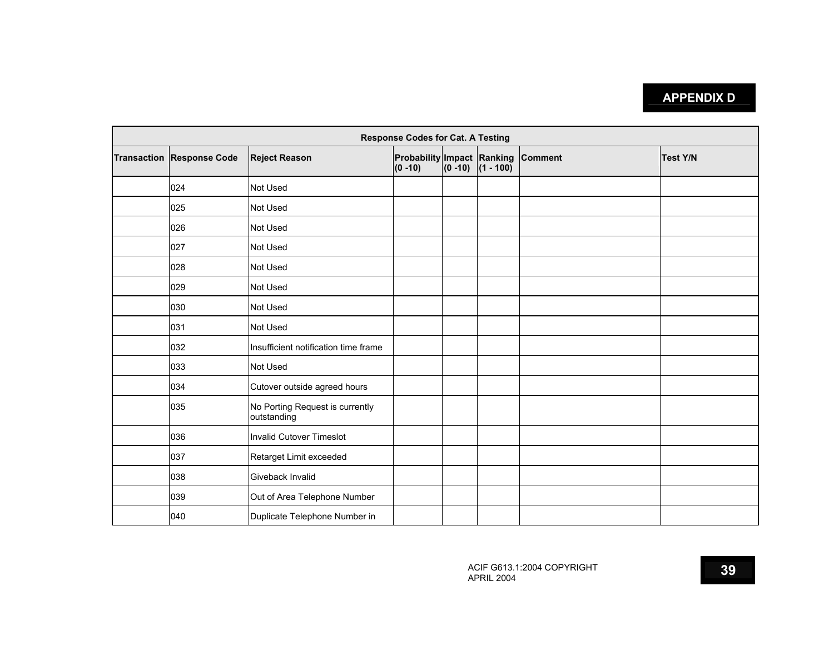## **APPENDIX D**

| <b>Response Codes for Cat. A Testing</b> |                           |                                                |                                                  |  |                        |  |                 |  |
|------------------------------------------|---------------------------|------------------------------------------------|--------------------------------------------------|--|------------------------|--|-----------------|--|
|                                          | Transaction Response Code | <b>Reject Reason</b>                           | Probability Impact Ranking Comment<br>$(0 - 10)$ |  | $(0 - 10)$ $(1 - 100)$ |  | <b>Test Y/N</b> |  |
|                                          | 024                       | Not Used                                       |                                                  |  |                        |  |                 |  |
|                                          | 025                       | Not Used                                       |                                                  |  |                        |  |                 |  |
|                                          | 026                       | Not Used                                       |                                                  |  |                        |  |                 |  |
|                                          | 027                       | Not Used                                       |                                                  |  |                        |  |                 |  |
|                                          | 028                       | <b>Not Used</b>                                |                                                  |  |                        |  |                 |  |
|                                          | 029                       | Not Used                                       |                                                  |  |                        |  |                 |  |
|                                          | 030                       | Not Used                                       |                                                  |  |                        |  |                 |  |
|                                          | 031                       | Not Used                                       |                                                  |  |                        |  |                 |  |
|                                          | 032                       | Insufficient notification time frame           |                                                  |  |                        |  |                 |  |
|                                          | 033                       | Not Used                                       |                                                  |  |                        |  |                 |  |
|                                          | 034                       | Cutover outside agreed hours                   |                                                  |  |                        |  |                 |  |
|                                          | 035                       | No Porting Request is currently<br>outstanding |                                                  |  |                        |  |                 |  |
|                                          | 036                       | <b>Invalid Cutover Timeslot</b>                |                                                  |  |                        |  |                 |  |
|                                          | 037                       | Retarget Limit exceeded                        |                                                  |  |                        |  |                 |  |
|                                          | 038                       | Giveback Invalid                               |                                                  |  |                        |  |                 |  |
|                                          | 039                       | Out of Area Telephone Number                   |                                                  |  |                        |  |                 |  |
|                                          | 040                       | Duplicate Telephone Number in                  |                                                  |  |                        |  |                 |  |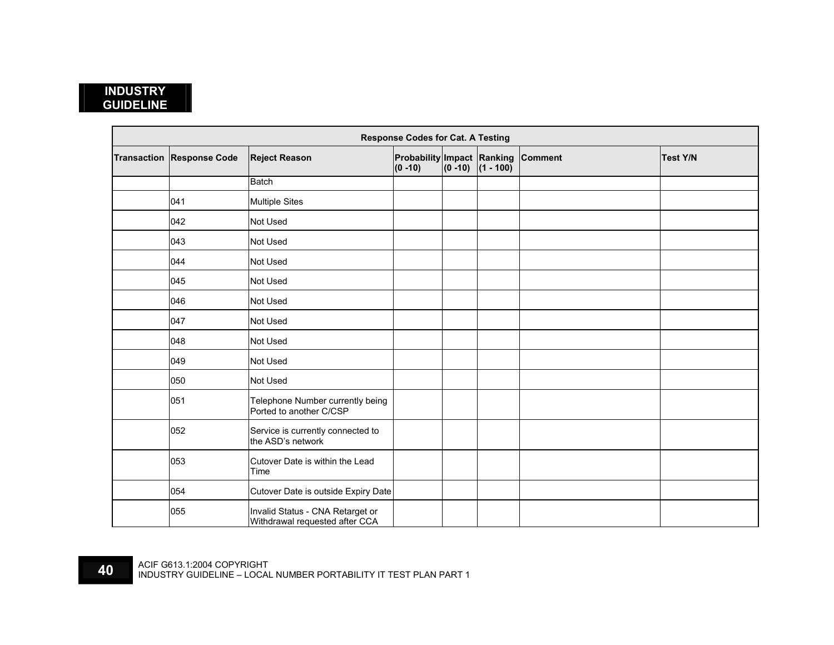

| <b>Response Codes for Cat. A Testing</b> |                                  |                                                                    |                                                         |            |             |  |                 |  |
|------------------------------------------|----------------------------------|--------------------------------------------------------------------|---------------------------------------------------------|------------|-------------|--|-----------------|--|
|                                          | <b>Transaction Response Code</b> | <b>Reject Reason</b>                                               | <b>Probability Impact Ranking Comment</b><br>$(0 - 10)$ | $(0 - 10)$ | $(1 - 100)$ |  | <b>Test Y/N</b> |  |
|                                          |                                  | <b>Batch</b>                                                       |                                                         |            |             |  |                 |  |
|                                          | 041                              | <b>Multiple Sites</b>                                              |                                                         |            |             |  |                 |  |
|                                          | 042                              | Not Used                                                           |                                                         |            |             |  |                 |  |
|                                          | 043                              | <b>Not Used</b>                                                    |                                                         |            |             |  |                 |  |
|                                          | 044                              | Not Used                                                           |                                                         |            |             |  |                 |  |
|                                          | 045                              | <b>Not Used</b>                                                    |                                                         |            |             |  |                 |  |
|                                          | 046                              | Not Used                                                           |                                                         |            |             |  |                 |  |
|                                          | 047                              | <b>Not Used</b>                                                    |                                                         |            |             |  |                 |  |
|                                          | 048                              | Not Used                                                           |                                                         |            |             |  |                 |  |
|                                          | 049                              | Not Used                                                           |                                                         |            |             |  |                 |  |
|                                          | 050                              | <b>Not Used</b>                                                    |                                                         |            |             |  |                 |  |
|                                          | 051                              | Telephone Number currently being<br>Ported to another C/CSP        |                                                         |            |             |  |                 |  |
|                                          | 052                              | Service is currently connected to<br>the ASD's network             |                                                         |            |             |  |                 |  |
|                                          | 053                              | Cutover Date is within the Lead<br>Time                            |                                                         |            |             |  |                 |  |
|                                          | 054                              | Cutover Date is outside Expiry Date                                |                                                         |            |             |  |                 |  |
|                                          | 055                              | Invalid Status - CNA Retarget or<br>Withdrawal requested after CCA |                                                         |            |             |  |                 |  |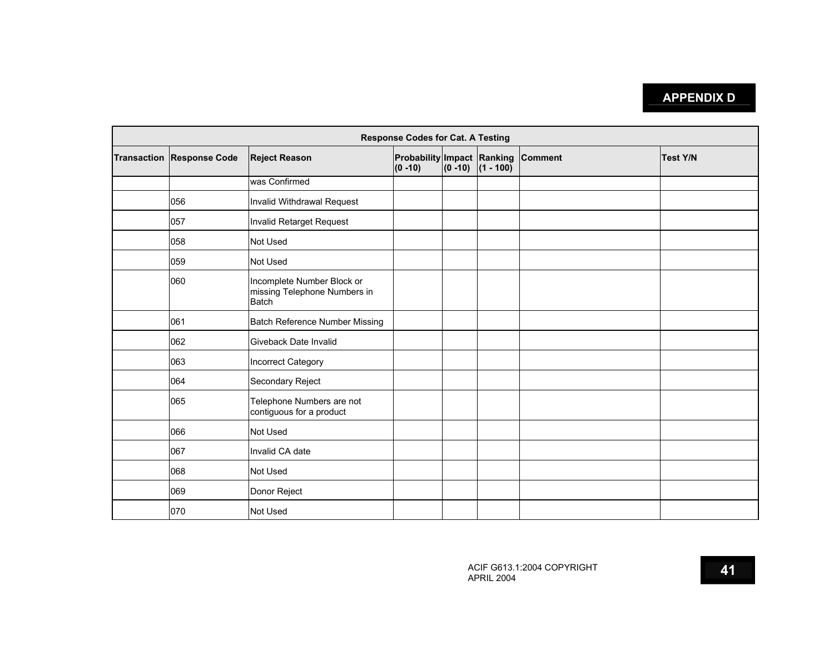## **APPENDIX D**

| <b>Response Codes for Cat. A Testing</b> |                                  |                                                                            |                                                  |  |                        |  |                 |  |
|------------------------------------------|----------------------------------|----------------------------------------------------------------------------|--------------------------------------------------|--|------------------------|--|-----------------|--|
|                                          | <b>Transaction Response Code</b> | <b>Reject Reason</b>                                                       | Probability Impact Ranking Comment<br>$(0 - 10)$ |  | $(0 - 10)$ $(1 - 100)$ |  | <b>Test Y/N</b> |  |
|                                          |                                  | was Confirmed                                                              |                                                  |  |                        |  |                 |  |
|                                          | 056                              | Invalid Withdrawal Request                                                 |                                                  |  |                        |  |                 |  |
|                                          | 057                              | Invalid Retarget Request                                                   |                                                  |  |                        |  |                 |  |
|                                          | 058                              | Not Used                                                                   |                                                  |  |                        |  |                 |  |
|                                          | 059                              | Not Used                                                                   |                                                  |  |                        |  |                 |  |
|                                          | 060                              | Incomplete Number Block or<br>missing Telephone Numbers in<br><b>Batch</b> |                                                  |  |                        |  |                 |  |
|                                          | 061                              | <b>Batch Reference Number Missing</b>                                      |                                                  |  |                        |  |                 |  |
|                                          | 062                              | Giveback Date Invalid                                                      |                                                  |  |                        |  |                 |  |
|                                          | 063                              | Incorrect Category                                                         |                                                  |  |                        |  |                 |  |
|                                          | 064                              | Secondary Reject                                                           |                                                  |  |                        |  |                 |  |
|                                          | 065                              | Telephone Numbers are not<br>contiguous for a product                      |                                                  |  |                        |  |                 |  |
|                                          | 066                              | Not Used                                                                   |                                                  |  |                        |  |                 |  |
|                                          | 067                              | Invalid CA date                                                            |                                                  |  |                        |  |                 |  |
|                                          | 068                              | <b>Not Used</b>                                                            |                                                  |  |                        |  |                 |  |
|                                          | 069                              | Donor Reject                                                               |                                                  |  |                        |  |                 |  |
|                                          | 070                              | Not Used                                                                   |                                                  |  |                        |  |                 |  |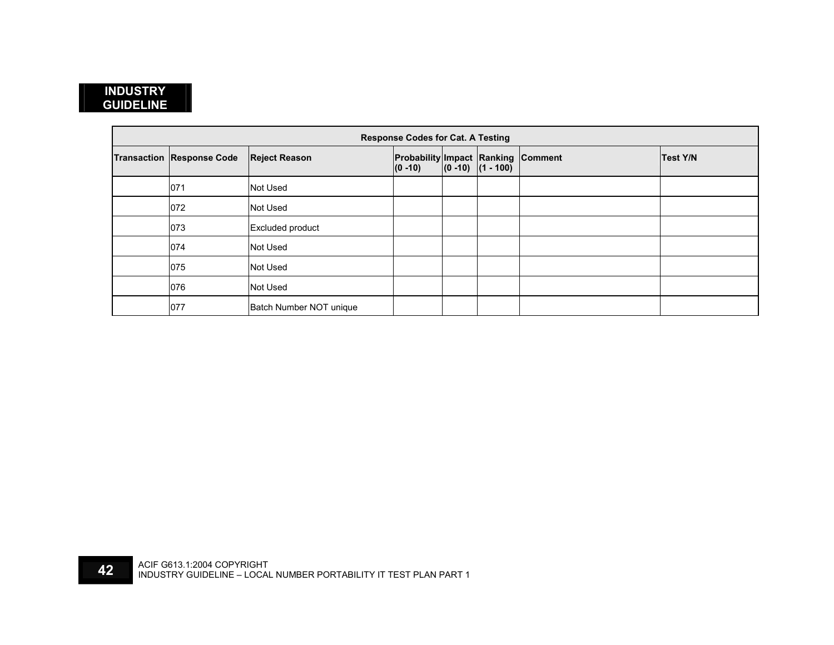

| <b>Response Codes for Cat. A Testing</b> |                                  |                         |                                                         |  |                        |  |                 |  |
|------------------------------------------|----------------------------------|-------------------------|---------------------------------------------------------|--|------------------------|--|-----------------|--|
|                                          | <b>Transaction Response Code</b> | <b>Reject Reason</b>    | <b>Probability Impact Ranking Comment</b><br>$(0 - 10)$ |  | $(0 - 10)$ $(1 - 100)$ |  | <b>Test Y/N</b> |  |
|                                          | 071                              | Not Used                |                                                         |  |                        |  |                 |  |
|                                          | 072                              | Not Used                |                                                         |  |                        |  |                 |  |
|                                          | 073                              | Excluded product        |                                                         |  |                        |  |                 |  |
|                                          | 074                              | Not Used                |                                                         |  |                        |  |                 |  |
|                                          | 075                              | Not Used                |                                                         |  |                        |  |                 |  |
|                                          | 076                              | Not Used                |                                                         |  |                        |  |                 |  |
|                                          | 077                              | Batch Number NOT unique |                                                         |  |                        |  |                 |  |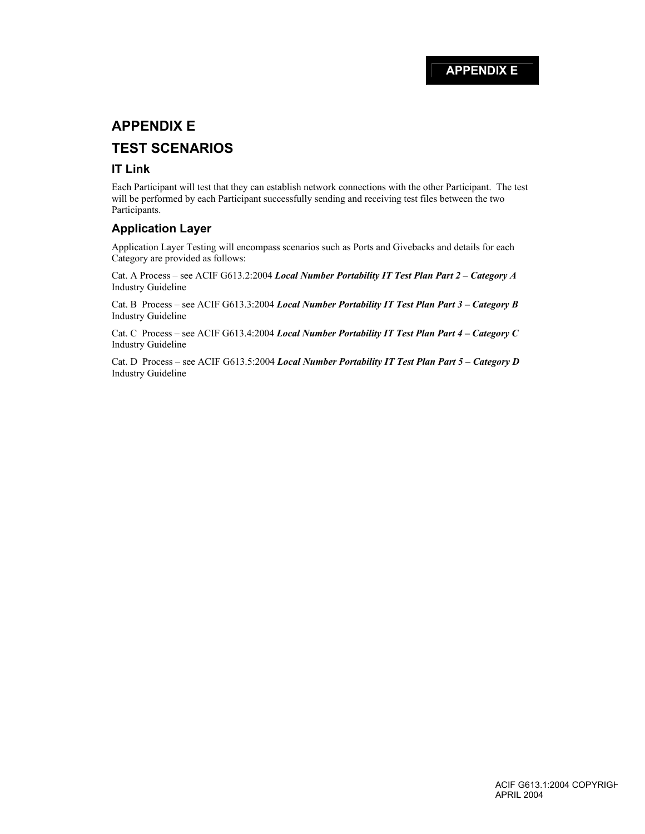## **APPENDIX E TEST SCENARIOS**

## **IT Link**

Each Participant will test that they can establish network connections with the other Participant. The test will be performed by each Participant successfully sending and receiving test files between the two Participants.

## **Application Layer**

Application Layer Testing will encompass scenarios such as Ports and Givebacks and details for each Category are provided as follows:

Cat. A Process – see ACIF G613.2:2004 *Local Number Portability IT Test Plan Part 2 – Category A* Industry Guideline

Cat. B Process – see ACIF G613.3:2004 *Local Number Portability IT Test Plan Part 3 – Category B* Industry Guideline

Cat. C Process – see ACIF G613.4:2004 *Local Number Portability IT Test Plan Part 4 – Category C*  Industry Guideline

Cat. D Process – see ACIF G613.5:2004 *Local Number Portability IT Test Plan Part 5 – Category D* Industry Guideline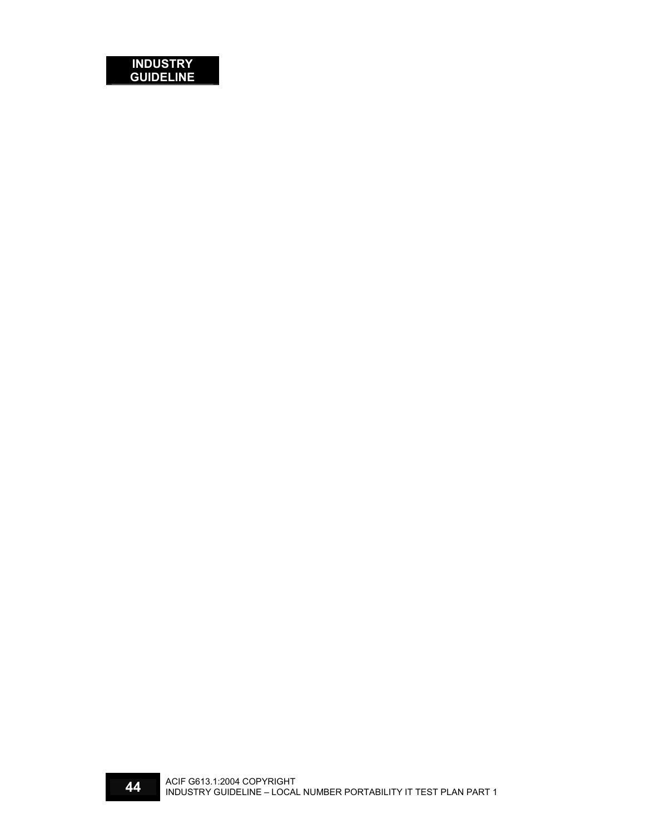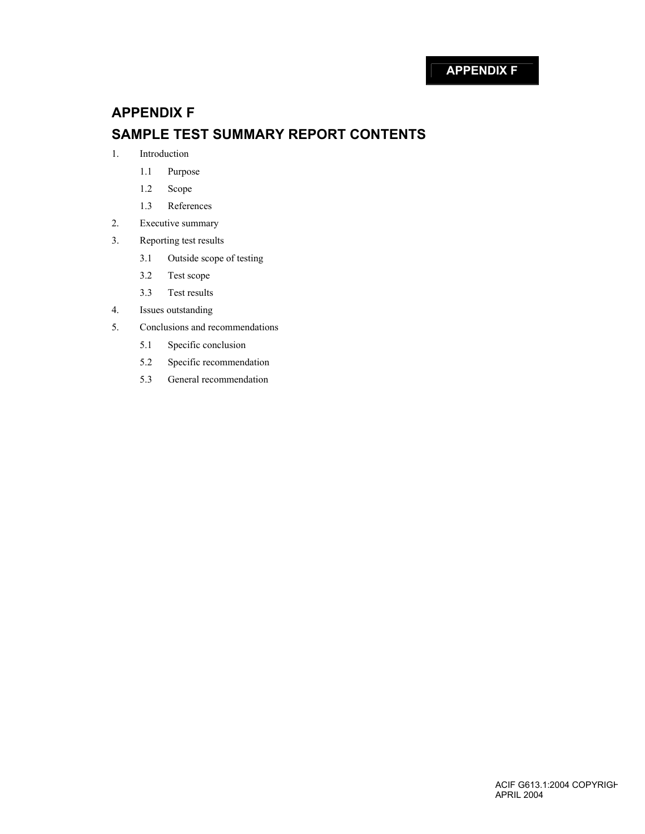## **APPENDIX F SAMPLE TEST SUMMARY REPORT CONTENTS**

- 1. Introduction
	- 1.1 Purpose
	- 1.2 Scope
	- 1.3 References
- 2. Executive summary
- 3. Reporting test results
	- 3.1 Outside scope of testing
	- 3.2 Test scope
	- 3.3 Test results
- 4. Issues outstanding
- 5. Conclusions and recommendations
	- 5.1 Specific conclusion
	- 5.2 Specific recommendation
	- 5.3 General recommendation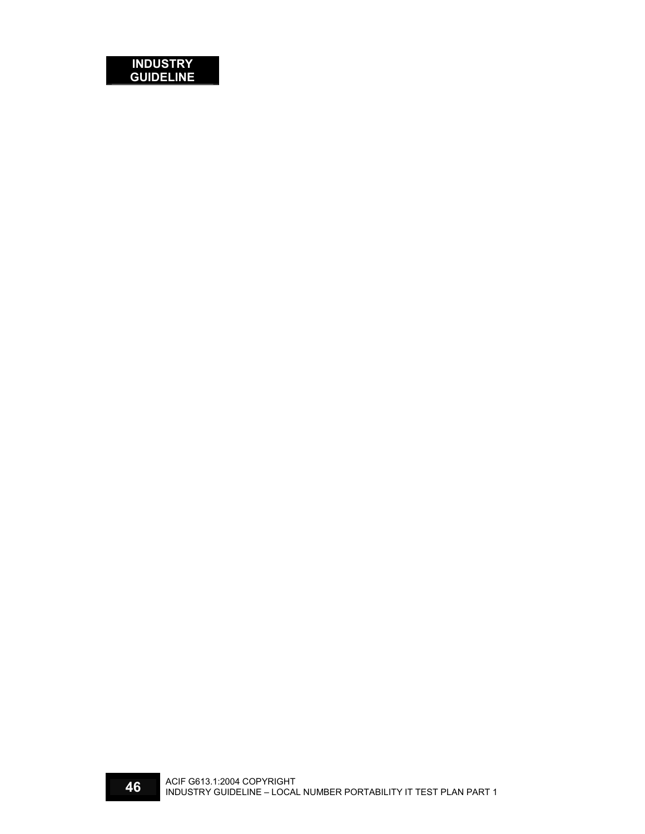

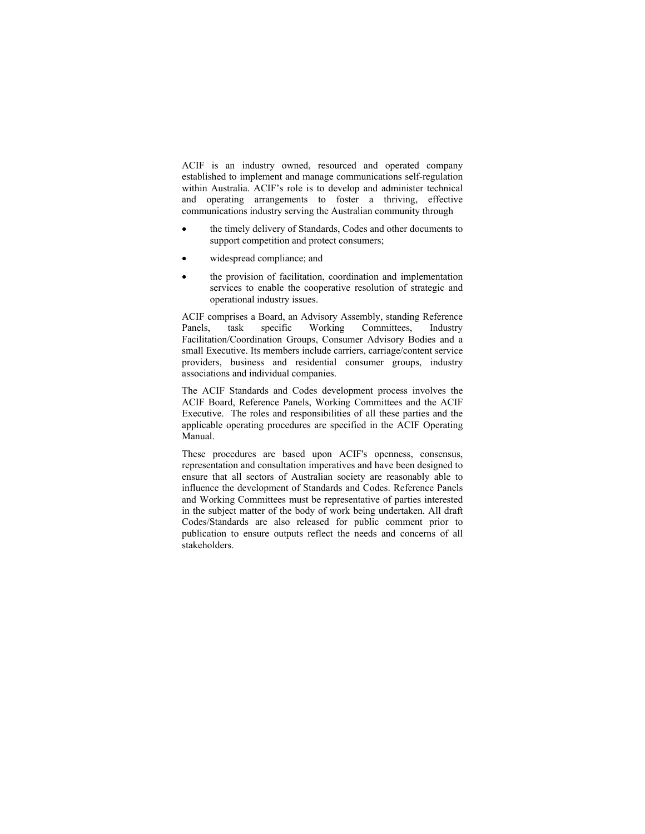ACIF is an industry owned, resourced and operated company established to implement and manage communications self-regulation within Australia. ACIF's role is to develop and administer technical and operating arrangements to foster a thriving, effective communications industry serving the Australian community through

- the timely delivery of Standards, Codes and other documents to support competition and protect consumers;
- widespread compliance; and
- the provision of facilitation, coordination and implementation services to enable the cooperative resolution of strategic and operational industry issues.

ACIF comprises a Board, an Advisory Assembly, standing Reference Panels, task specific Working Committees, Industry Facilitation/Coordination Groups, Consumer Advisory Bodies and a small Executive. Its members include carriers, carriage/content service providers, business and residential consumer groups, industry associations and individual companies.

The ACIF Standards and Codes development process involves the ACIF Board, Reference Panels, Working Committees and the ACIF Executive. The roles and responsibilities of all these parties and the applicable operating procedures are specified in the ACIF Operating Manual.

These procedures are based upon ACIF's openness, consensus, representation and consultation imperatives and have been designed to ensure that all sectors of Australian society are reasonably able to influence the development of Standards and Codes. Reference Panels and Working Committees must be representative of parties interested in the subject matter of the body of work being undertaken. All draft Codes/Standards are also released for public comment prior to publication to ensure outputs reflect the needs and concerns of all stakeholders.